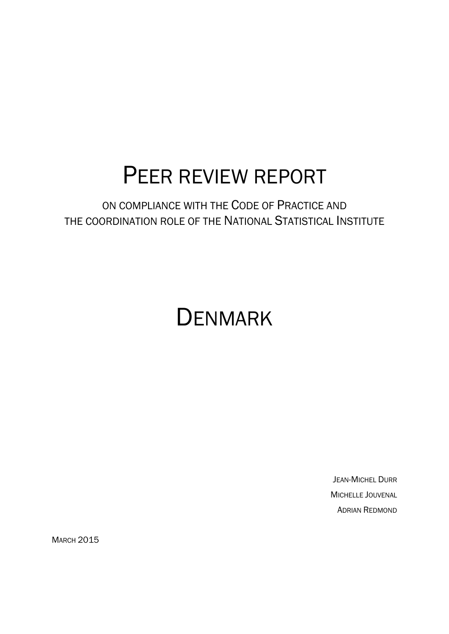# PEER REVIEW REPORT

# ON COMPLIANCE WITH THE CODE OF PRACTICE AND THE COORDINATION ROLE OF THE NATIONAL STATISTICAL INSTITUTE

# **DENMARK**

JEAN-MICHEL DURR MICHELLE JOUVENAL ADRIAN REDMOND

**MARCH 2015**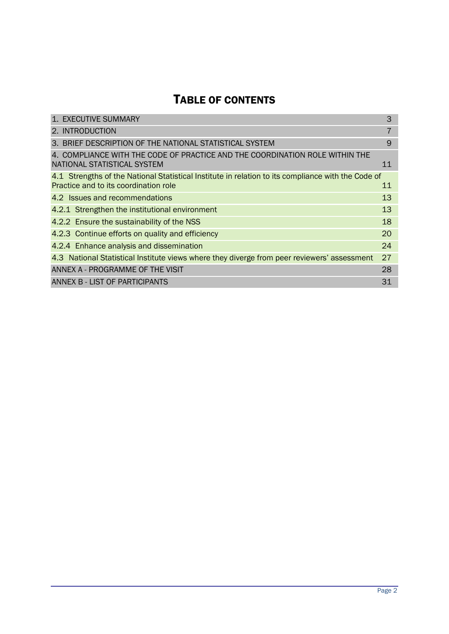# TABLE OF CONTENTS

| 1. EXECUTIVE SUMMARY                                                                                                                        | 3              |
|---------------------------------------------------------------------------------------------------------------------------------------------|----------------|
| 2. INTRODUCTION                                                                                                                             | $\overline{7}$ |
| 3. BRIEF DESCRIPTION OF THE NATIONAL STATISTICAL SYSTEM                                                                                     | 9              |
| 4. COMPLIANCE WITH THE CODE OF PRACTICE AND THE COORDINATION ROLE WITHIN THE<br>NATIONAL STATISTICAL SYSTEM                                 | 11             |
| 4.1 Strengths of the National Statistical Institute in relation to its compliance with the Code of<br>Practice and to its coordination role | 11             |
| 4.2 Issues and recommendations                                                                                                              | 13             |
| 4.2.1 Strengthen the institutional environment                                                                                              | 13             |
| 4.2.2 Ensure the sustainability of the NSS                                                                                                  | 18             |
| 4.2.3 Continue efforts on quality and efficiency                                                                                            | 20             |
| 4.2.4 Enhance analysis and dissemination                                                                                                    | 24             |
| 4.3 National Statistical Institute views where they diverge from peer reviewers' assessment                                                 | 27             |
| ANNEX A - PROGRAMME OF THE VISIT                                                                                                            | 28             |
| ANNEX B - LIST OF PARTICIPANTS                                                                                                              | 31             |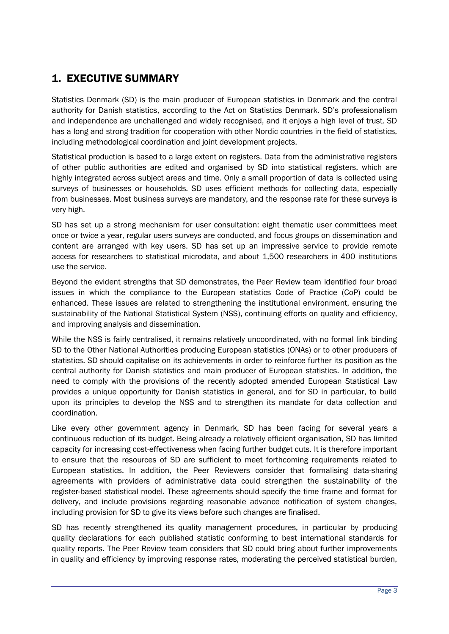## <span id="page-2-0"></span>1. EXECUTIVE SUMMARY

Statistics Denmark (SD) is the main producer of European statistics in Denmark and the central authority for Danish statistics, according to the Act on Statistics Denmark. SD's professionalism and independence are unchallenged and widely recognised, and it enjoys a high level of trust. SD has a long and strong tradition for cooperation with other Nordic countries in the field of statistics, including methodological coordination and joint development projects.

Statistical production is based to a large extent on registers. Data from the administrative registers of other public authorities are edited and organised by SD into statistical registers, which are highly integrated across subject areas and time. Only a small proportion of data is collected using surveys of businesses or households. SD uses efficient methods for collecting data, especially from businesses. Most business surveys are mandatory, and the response rate for these surveys is very high.

SD has set up a strong mechanism for user consultation: eight thematic user committees meet once or twice a year, regular users surveys are conducted, and focus groups on dissemination and content are arranged with key users. SD has set up an impressive service to provide remote access for researchers to statistical microdata, and about 1,500 researchers in 400 institutions use the service.

Beyond the evident strengths that SD demonstrates, the Peer Review team identified four broad issues in which the compliance to the European statistics Code of Practice (CoP) could be enhanced. These issues are related to strengthening the institutional environment, ensuring the sustainability of the National Statistical System (NSS), continuing efforts on quality and efficiency, and improving analysis and dissemination.

While the NSS is fairly centralised, it remains relatively uncoordinated, with no formal link binding SD to the Other National Authorities producing European statistics (ONAs) or to other producers of statistics. SD should capitalise on its achievements in order to reinforce further its position as the central authority for Danish statistics and main producer of European statistics. In addition, the need to comply with the provisions of the recently adopted amended European Statistical Law provides a unique opportunity for Danish statistics in general, and for SD in particular, to build upon its principles to develop the NSS and to strengthen its mandate for data collection and coordination.

Like every other government agency in Denmark, SD has been facing for several years a continuous reduction of its budget. Being already a relatively efficient organisation, SD has limited capacity for increasing cost-effectiveness when facing further budget cuts. It is therefore important to ensure that the resources of SD are sufficient to meet forthcoming requirements related to European statistics. In addition, the Peer Reviewers consider that formalising data-sharing agreements with providers of administrative data could strengthen the sustainability of the register-based statistical model. These agreements should specify the time frame and format for delivery, and include provisions regarding reasonable advance notification of system changes, including provision for SD to give its views before such changes are finalised.

SD has recently strengthened its quality management procedures, in particular by producing quality declarations for each published statistic conforming to best international standards for quality reports. The Peer Review team considers that SD could bring about further improvements in quality and efficiency by improving response rates, moderating the perceived statistical burden,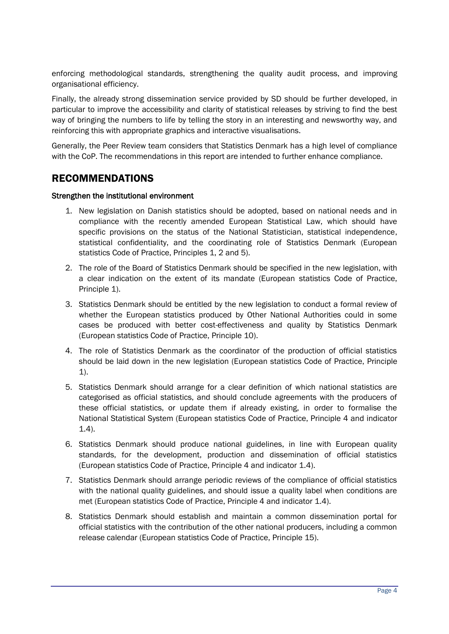enforcing methodological standards, strengthening the quality audit process, and improving organisational efficiency.

Finally, the already strong dissemination service provided by SD should be further developed, in particular to improve the accessibility and clarity of statistical releases by striving to find the best way of bringing the numbers to life by telling the story in an interesting and newsworthy way, and reinforcing this with appropriate graphics and interactive visualisations.

Generally, the Peer Review team considers that Statistics Denmark has a high level of compliance with the CoP. The recommendations in this report are intended to further enhance compliance.

## RECOMMENDATIONS

#### Strengthen the institutional environment

- 1. New legislation on Danish statistics should be adopted, based on national needs and in compliance with the recently amended European Statistical Law, which should have specific provisions on the status of the National Statistician, statistical independence, statistical confidentiality, and the coordinating role of Statistics Denmark (European statistics Code of Practice, Principles 1, 2 and 5).
- 2. The role of the Board of Statistics Denmark should be specified in the new legislation, with a clear indication on the extent of its mandate (European statistics Code of Practice, Principle 1).
- 3. Statistics Denmark should be entitled by the new legislation to conduct a formal review of whether the European statistics produced by Other National Authorities could in some cases be produced with better cost-effectiveness and quality by Statistics Denmark (European statistics Code of Practice, Principle 10).
- 4. The role of Statistics Denmark as the coordinator of the production of official statistics should be laid down in the new legislation (European statistics Code of Practice, Principle 1).
- 5. Statistics Denmark should arrange for a clear definition of which national statistics are categorised as official statistics, and should conclude agreements with the producers of these official statistics, or update them if already existing, in order to formalise the National Statistical System (European statistics Code of Practice, Principle 4 and indicator 1.4).
- 6. Statistics Denmark should produce national guidelines, in line with European quality standards, for the development, production and dissemination of official statistics (European statistics Code of Practice, Principle 4 and indicator 1.4).
- 7. Statistics Denmark should arrange periodic reviews of the compliance of official statistics with the national quality guidelines, and should issue a quality label when conditions are met (European statistics Code of Practice, Principle 4 and indicator 1.4).
- 8. Statistics Denmark should establish and maintain a common dissemination portal for official statistics with the contribution of the other national producers, including a common release calendar (European statistics Code of Practice, Principle 15).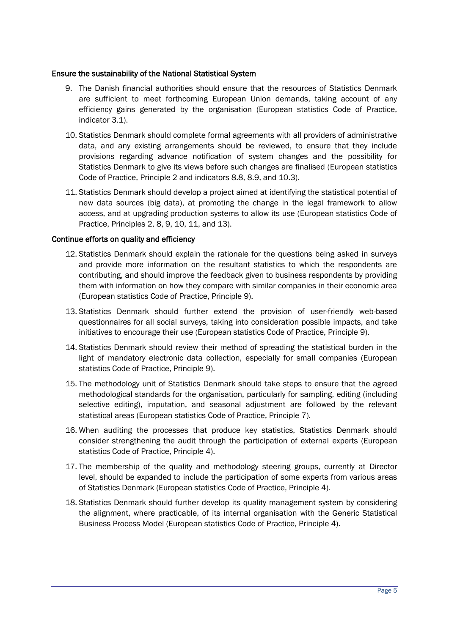#### Ensure the sustainability of the National Statistical System

- 9. The Danish financial authorities should ensure that the resources of Statistics Denmark are sufficient to meet forthcoming European Union demands, taking account of any efficiency gains generated by the organisation (European statistics Code of Practice, indicator 3.1).
- 10. Statistics Denmark should complete formal agreements with all providers of administrative data, and any existing arrangements should be reviewed, to ensure that they include provisions regarding advance notification of system changes and the possibility for Statistics Denmark to give its views before such changes are finalised (European statistics Code of Practice, Principle 2 and indicators 8.8, 8.9, and 10.3).
- 11. Statistics Denmark should develop a project aimed at identifying the statistical potential of new data sources (big data), at promoting the change in the legal framework to allow access, and at upgrading production systems to allow its use (European statistics Code of Practice, Principles 2, 8, 9, 10, 11, and 13).

#### Continue efforts on quality and efficiency

- 12. Statistics Denmark should explain the rationale for the questions being asked in surveys and provide more information on the resultant statistics to which the respondents are contributing, and should improve the feedback given to business respondents by providing them with information on how they compare with similar companies in their economic area (European statistics Code of Practice, Principle 9).
- 13. Statistics Denmark should further extend the provision of user-friendly web-based questionnaires for all social surveys, taking into consideration possible impacts, and take initiatives to encourage their use (European statistics Code of Practice, Principle 9).
- 14. Statistics Denmark should review their method of spreading the statistical burden in the light of mandatory electronic data collection, especially for small companies (European statistics Code of Practice, Principle 9).
- 15. The methodology unit of Statistics Denmark should take steps to ensure that the agreed methodological standards for the organisation, particularly for sampling, editing (including selective editing), imputation, and seasonal adjustment are followed by the relevant statistical areas (European statistics Code of Practice, Principle 7).
- 16. When auditing the processes that produce key statistics, Statistics Denmark should consider strengthening the audit through the participation of external experts (European statistics Code of Practice, Principle 4).
- 17. The membership of the quality and methodology steering groups, currently at Director level, should be expanded to include the participation of some experts from various areas of Statistics Denmark (European statistics Code of Practice, Principle 4).
- 18. Statistics Denmark should further develop its quality management system by considering the alignment, where practicable, of its internal organisation with the Generic Statistical Business Process Model (European statistics Code of Practice, Principle 4).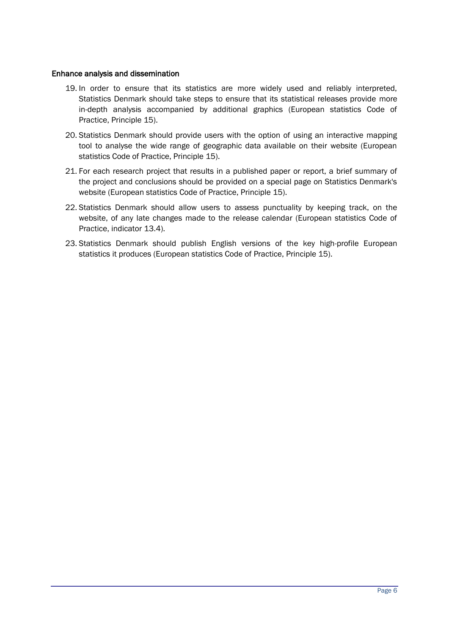#### Enhance analysis and dissemination

- 19. In order to ensure that its statistics are more widely used and reliably interpreted, Statistics Denmark should take steps to ensure that its statistical releases provide more in-depth analysis accompanied by additional graphics (European statistics Code of Practice, Principle 15).
- 20. Statistics Denmark should provide users with the option of using an interactive mapping tool to analyse the wide range of geographic data available on their website (European statistics Code of Practice, Principle 15).
- 21. For each research project that results in a published paper or report, a brief summary of the project and conclusions should be provided on a special page on Statistics Denmark's website (European statistics Code of Practice, Principle 15).
- 22. Statistics Denmark should allow users to assess punctuality by keeping track, on the website, of any late changes made to the release calendar (European statistics Code of Practice, indicator 13.4).
- 23. Statistics Denmark should publish English versions of the key high-profile European statistics it produces (European statistics Code of Practice, Principle 15).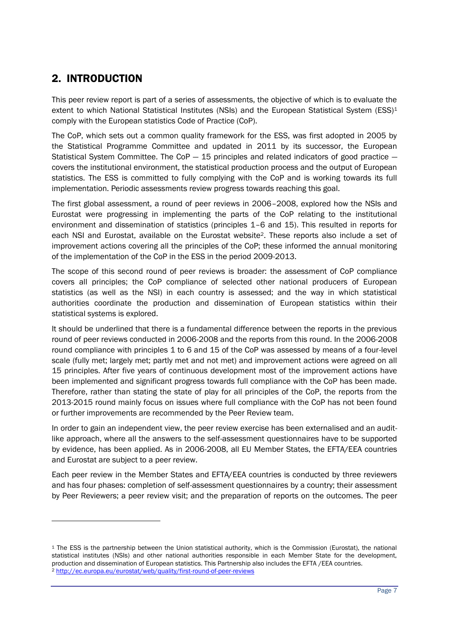## <span id="page-6-0"></span>2. INTRODUCTION

 $\overline{a}$ 

This peer review report is part of a series of assessments, the objective of which is to evaluate the extent to which National Statistical Institutes (NSIs) and the European Statistical System (ESS)<sup>1</sup> comply with the European statistics Code of Practice (CoP).

The CoP, which sets out a common quality framework for the ESS, was first adopted in 2005 by the Statistical Programme Committee and updated in 2011 by its successor, the European Statistical System Committee. The CoP  $-$  15 principles and related indicators of good practice  $$ covers the institutional environment, the statistical production process and the output of European statistics. The ESS is committed to fully complying with the CoP and is working towards its full implementation. Periodic assessments review progress towards reaching this goal.

The first global assessment, a round of peer reviews in 2006–2008, explored how the NSIs and Eurostat were progressing in implementing the parts of the CoP relating to the institutional environment and dissemination of statistics (principles 1–6 and 15). This resulted in reports for each NSI and Eurostat, available on the Eurostat website2. These reports also include a set of improvement actions covering all the principles of the CoP; these informed the annual monitoring of the implementation of the CoP in the ESS in the period 2009-2013.

The scope of this second round of peer reviews is broader: the assessment of CoP compliance covers all principles; the CoP compliance of selected other national producers of European statistics (as well as the NSI) in each country is assessed; and the way in which statistical authorities coordinate the production and dissemination of European statistics within their statistical systems is explored.

It should be underlined that there is a fundamental difference between the reports in the previous round of peer reviews conducted in 2006-2008 and the reports from this round. In the 2006-2008 round compliance with principles 1 to 6 and 15 of the CoP was assessed by means of a four-level scale (fully met; largely met; partly met and not met) and improvement actions were agreed on all 15 principles. After five years of continuous development most of the improvement actions have been implemented and significant progress towards full compliance with the CoP has been made. Therefore, rather than stating the state of play for all principles of the CoP, the reports from the 2013-2015 round mainly focus on issues where full compliance with the CoP has not been found or further improvements are recommended by the Peer Review team.

In order to gain an independent view, the peer review exercise has been externalised and an auditlike approach, where all the answers to the self-assessment questionnaires have to be supported by evidence, has been applied. As in 2006-2008, all EU Member States, the EFTA/EEA countries and Eurostat are subject to a peer review.

Each peer review in the Member States and EFTA/EEA countries is conducted by three reviewers and has four phases: completion of self-assessment questionnaires by a country; their assessment by Peer Reviewers; a peer review visit; and the preparation of reports on the outcomes. The peer

<sup>1</sup> The ESS is the partnership between the Union statistical authority, which is the Commission (Eurostat), the national statistical institutes (NSIs) and other national authorities responsible in each Member State for the development, production and dissemination of European statistics. This Partnership also includes the EFTA /EEA countries. <sup>2</sup> <http://ec.europa.eu/eurostat/web/quality/first-round-of-peer-reviews>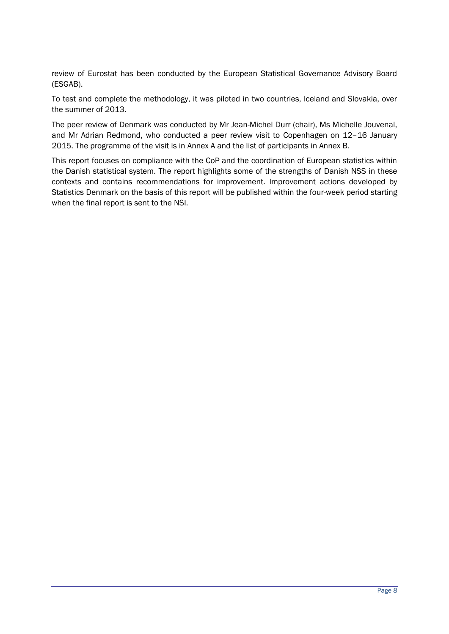review of Eurostat has been conducted by the European Statistical Governance Advisory Board (ESGAB).

To test and complete the methodology, it was piloted in two countries, Iceland and Slovakia, over the summer of 2013.

The peer review of Denmark was conducted by Mr Jean-Michel Durr (chair), Ms Michelle Jouvenal, and Mr Adrian Redmond, who conducted a peer review visit to Copenhagen on 12–16 January 2015. The programme of the visit is in Annex A and the list of participants in Annex B.

This report focuses on compliance with the CoP and the coordination of European statistics within the Danish statistical system. The report highlights some of the strengths of Danish NSS in these contexts and contains recommendations for improvement. Improvement actions developed by Statistics Denmark on the basis of this report will be published within the four-week period starting when the final report is sent to the NSI.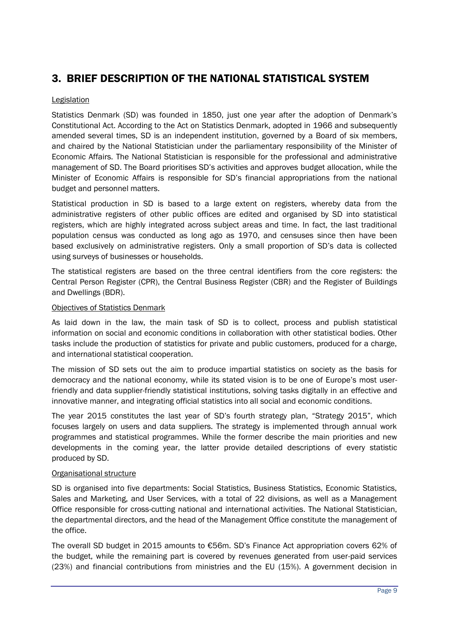## <span id="page-8-0"></span>3. BRIEF DESCRIPTION OF THE NATIONAL STATISTICAL SYSTEM

#### **Legislation**

Statistics Denmark (SD) was founded in 1850, just one year after the adoption of Denmark's Constitutional Act. According to the Act on Statistics Denmark, adopted in 1966 and subsequently amended several times, SD is an independent institution, governed by a Board of six members, and chaired by the National Statistician under the parliamentary responsibility of the Minister of Economic Affairs. The National Statistician is responsible for the professional and administrative management of SD. The Board prioritises SD's activities and approves budget allocation, while the Minister of Economic Affairs is responsible for SD's financial appropriations from the national budget and personnel matters.

Statistical production in SD is based to a large extent on registers, whereby data from the administrative registers of other public offices are edited and organised by SD into statistical registers, which are highly integrated across subject areas and time. In fact, the last traditional population census was conducted as long ago as 1970, and censuses since then have been based exclusively on administrative registers. Only a small proportion of SD's data is collected using surveys of businesses or households.

The statistical registers are based on the three central identifiers from the core registers: the Central Person Register (CPR), the Central Business Register (CBR) and the Register of Buildings and Dwellings (BDR).

#### Objectives of Statistics Denmark

As laid down in the law, the main task of SD is to collect, process and publish statistical information on social and economic conditions in collaboration with other statistical bodies. Other tasks include the production of statistics for private and public customers, produced for a charge, and international statistical cooperation.

The mission of SD sets out the aim to produce impartial statistics on society as the basis for democracy and the national economy, while its stated vision is to be one of Europe's most userfriendly and data supplier-friendly statistical institutions, solving tasks digitally in an effective and innovative manner, and integrating official statistics into all social and economic conditions.

The year 2015 constitutes the last year of SD's fourth strategy plan, "Strategy 2015", which focuses largely on users and data suppliers. The strategy is implemented through annual work programmes and statistical programmes. While the former describe the main priorities and new developments in the coming year, the latter provide detailed descriptions of every statistic produced by SD.

#### Organisational structure

SD is organised into five departments: Social Statistics, Business Statistics, Economic Statistics, Sales and Marketing, and User Services, with a total of 22 divisions, as well as a Management Office responsible for cross-cutting national and international activities. The National Statistician, the departmental directors, and the head of the Management Office constitute the management of the office.

The overall SD budget in 2015 amounts to €56m. SD's Finance Act appropriation covers 62% of the budget, while the remaining part is covered by revenues generated from user-paid services (23%) and financial contributions from ministries and the EU (15%). A government decision in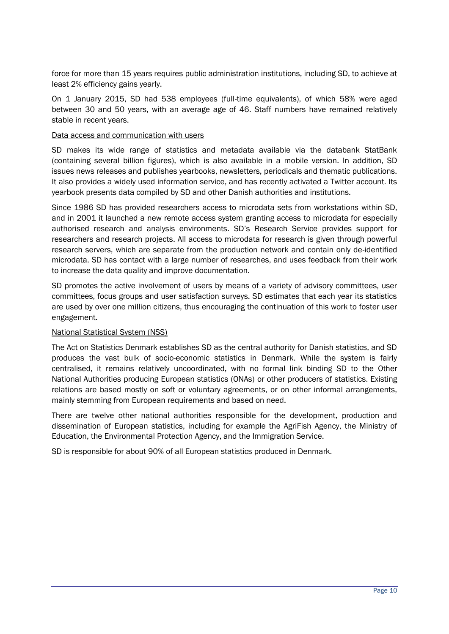force for more than 15 years requires public administration institutions, including SD, to achieve at least 2% efficiency gains yearly.

On 1 January 2015, SD had 538 employees (full-time equivalents), of which 58% were aged between 30 and 50 years, with an average age of 46. Staff numbers have remained relatively stable in recent years.

#### Data access and communication with users

SD makes its wide range of statistics and metadata available via the databank StatBank (containing several billion figures), which is also available in a mobile version. In addition, SD issues news releases and publishes yearbooks, newsletters, periodicals and thematic publications. It also provides a widely used information service, and has recently activated a Twitter account. Its yearbook presents data compiled by SD and other Danish authorities and institutions.

Since 1986 SD has provided researchers access to microdata sets from workstations within SD, and in 2001 it launched a new remote access system granting access to microdata for especially authorised research and analysis environments. SD's Research Service provides support for researchers and research projects. All access to microdata for research is given through powerful research servers, which are separate from the production network and contain only de-identified microdata. SD has contact with a large number of researches, and uses feedback from their work to increase the data quality and improve documentation.

SD promotes the active involvement of users by means of a variety of advisory committees, user committees, focus groups and user satisfaction surveys. SD estimates that each year its statistics are used by over one million citizens, thus encouraging the continuation of this work to foster user engagement.

#### National Statistical System (NSS)

The Act on Statistics Denmark establishes SD as the central authority for Danish statistics, and SD produces the vast bulk of socio-economic statistics in Denmark. While the system is fairly centralised, it remains relatively uncoordinated, with no formal link binding SD to the Other National Authorities producing European statistics (ONAs) or other producers of statistics. Existing relations are based mostly on soft or voluntary agreements, or on other informal arrangements, mainly stemming from European requirements and based on need.

There are twelve other national authorities responsible for the development, production and dissemination of European statistics, including for example the AgriFish Agency, the Ministry of Education, the Environmental Protection Agency, and the Immigration Service.

SD is responsible for about 90% of all European statistics produced in Denmark.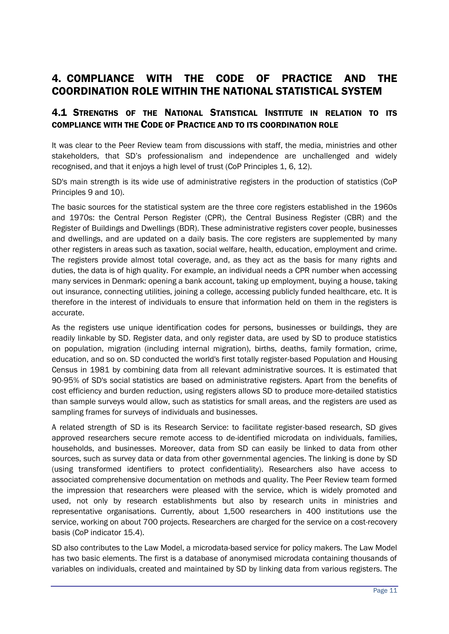## <span id="page-10-0"></span>4. COMPLIANCE WITH THE CODE OF PRACTICE AND THE COORDINATION ROLE WITHIN THE NATIONAL STATISTICAL SYSTEM

### <span id="page-10-1"></span>4.1 STRENGTHS OF THE NATIONAL STATISTICAL INSTITUTE IN RELATION TO ITS COMPLIANCE WITH THE CODE OF PRACTICE AND TO ITS COORDINATION ROLE

It was clear to the Peer Review team from discussions with staff, the media, ministries and other stakeholders, that SD's professionalism and independence are unchallenged and widely recognised, and that it enjoys a high level of trust (CoP Principles 1, 6, 12).

SD's main strength is its wide use of administrative registers in the production of statistics (CoP Principles 9 and 10).

The basic sources for the statistical system are the three core registers established in the 1960s and 1970s: the Central Person Register (CPR), the Central Business Register (CBR) and the Register of Buildings and Dwellings (BDR). These administrative registers cover people, businesses and dwellings, and are updated on a daily basis. The core registers are supplemented by many other registers in areas such as taxation, social welfare, health, education, employment and crime. The registers provide almost total coverage, and, as they act as the basis for many rights and duties, the data is of high quality. For example, an individual needs a CPR number when accessing many services in Denmark: opening a bank account, taking up employment, buying a house, taking out insurance, connecting utilities, joining a college, accessing publicly funded healthcare, etc. It is therefore in the interest of individuals to ensure that information held on them in the registers is accurate.

As the registers use unique identification codes for persons, businesses or buildings, they are readily linkable by SD. Register data, and only register data, are used by SD to produce statistics on population, migration (including internal migration), births, deaths, family formation, crime, education, and so on. SD conducted the world's first totally register-based Population and Housing Census in 1981 by combining data from all relevant administrative sources. It is estimated that 90-95% of SD's social statistics are based on administrative registers. Apart from the benefits of cost efficiency and burden reduction, using registers allows SD to produce more-detailed statistics than sample surveys would allow, such as statistics for small areas, and the registers are used as sampling frames for surveys of individuals and businesses.

A related strength of SD is its Research Service: to facilitate register-based research, SD gives approved researchers secure remote access to de-identified microdata on individuals, families, households, and businesses. Moreover, data from SD can easily be linked to data from other sources, such as survey data or data from other governmental agencies. The linking is done by SD (using transformed identifiers to protect confidentiality). Researchers also have access to associated comprehensive documentation on methods and quality. The Peer Review team formed the impression that researchers were pleased with the service, which is widely promoted and used, not only by research establishments but also by research units in ministries and representative organisations. Currently, about 1,500 researchers in 400 institutions use the service, working on about 700 projects. Researchers are charged for the service on a cost-recovery basis (CoP indicator 15.4).

SD also contributes to the Law Model, a microdata-based service for policy makers. The Law Model has two basic elements. The first is a database of anonymised microdata containing thousands of variables on individuals, created and maintained by SD by linking data from various registers. The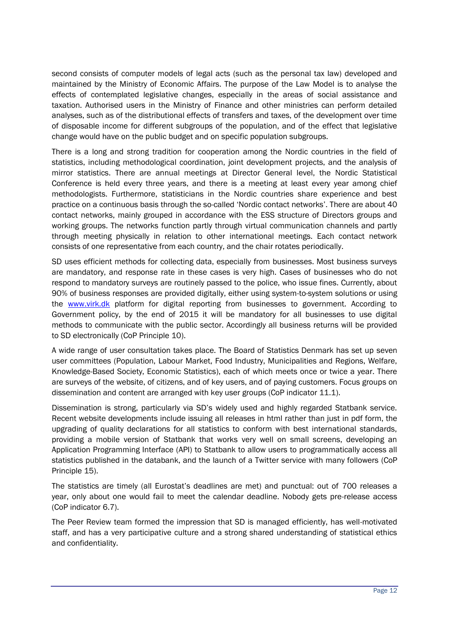second consists of computer models of legal acts (such as the personal tax law) developed and maintained by the Ministry of Economic Affairs. The purpose of the Law Model is to analyse the effects of contemplated legislative changes, especially in the areas of social assistance and taxation. Authorised users in the Ministry of Finance and other ministries can perform detailed analyses, such as of the distributional effects of transfers and taxes, of the development over time of disposable income for different subgroups of the population, and of the effect that legislative change would have on the public budget and on specific population subgroups.

There is a long and strong tradition for cooperation among the Nordic countries in the field of statistics, including methodological coordination, joint development projects, and the analysis of mirror statistics. There are annual meetings at Director General level, the Nordic Statistical Conference is held every three years, and there is a meeting at least every year among chief methodologists. Furthermore, statisticians in the Nordic countries share experience and best practice on a continuous basis through the so-called 'Nordic contact networks'. There are about 40 contact networks, mainly grouped in accordance with the ESS structure of Directors groups and working groups. The networks function partly through virtual communication channels and partly through meeting physically in relation to other international meetings. Each contact network consists of one representative from each country, and the chair rotates periodically.

SD uses efficient methods for collecting data, especially from businesses. Most business surveys are mandatory, and response rate in these cases is very high. Cases of businesses who do not respond to mandatory surveys are routinely passed to the police, who issue fines. Currently, about 90% of business responses are provided digitally, either using system-to-system solutions or using the [www.virk.dk](file:///C:/Users/Adrian/Google%20Drive/Peer%20Review%202014-2015/Denmark/Workarea/www.virk.dk) platform for digital reporting from businesses to government. According to Government policy, by the end of 2015 it will be mandatory for all businesses to use digital methods to communicate with the public sector. Accordingly all business returns will be provided to SD electronically (CoP Principle 10).

A wide range of user consultation takes place. The Board of Statistics Denmark has set up seven user committees (Population, Labour Market, Food Industry, Municipalities and Regions, Welfare, Knowledge-Based Society, Economic Statistics), each of which meets once or twice a year. There are surveys of the website, of citizens, and of key users, and of paying customers. Focus groups on dissemination and content are arranged with key user groups (CoP indicator 11.1).

Dissemination is strong, particularly via SD's widely used and highly regarded Statbank service. Recent website developments include issuing all releases in html rather than just in pdf form, the upgrading of quality declarations for all statistics to conform with best international standards, providing a mobile version of Statbank that works very well on small screens, developing an Application Programming Interface (API) to Statbank to allow users to programmatically access all statistics published in the databank, and the launch of a Twitter service with many followers (CoP Principle 15).

The statistics are timely (all Eurostat's deadlines are met) and punctual: out of 700 releases a year, only about one would fail to meet the calendar deadline. Nobody gets pre-release access (CoP indicator 6.7).

The Peer Review team formed the impression that SD is managed efficiently, has well-motivated staff, and has a very participative culture and a strong shared understanding of statistical ethics and confidentiality.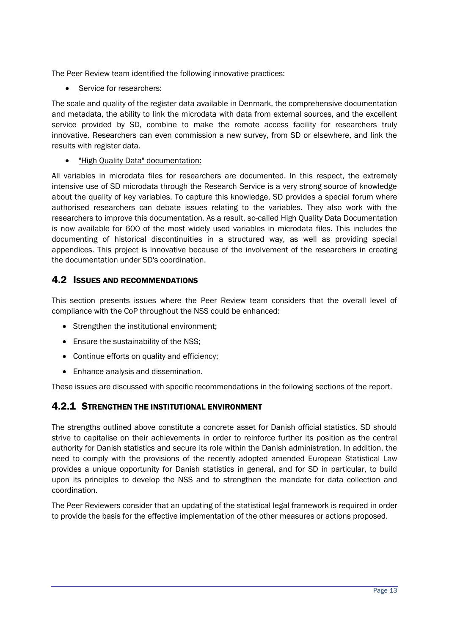The Peer Review team identified the following innovative practices:

• Service for researchers:

The scale and quality of the register data available in Denmark, the comprehensive documentation and metadata, the ability to link the microdata with data from external sources, and the excellent service provided by SD, combine to make the remote access facility for researchers truly innovative. Researchers can even commission a new survey, from SD or elsewhere, and link the results with register data.

"High Quality Data" documentation:

All variables in microdata files for researchers are documented. In this respect, the extremely intensive use of SD microdata through the Research Service is a very strong source of knowledge about the quality of key variables. To capture this knowledge, SD provides a special forum where authorised researchers can debate issues relating to the variables. They also work with the researchers to improve this documentation. As a result, so-called High Quality Data Documentation is now available for 600 of the most widely used variables in microdata files. This includes the documenting of historical discontinuities in a structured way, as well as providing special appendices. This project is innovative because of the involvement of the researchers in creating the documentation under SD's coordination.

### <span id="page-12-0"></span>4.2 ISSUES AND RECOMMENDATIONS

This section presents issues where the Peer Review team considers that the overall level of compliance with the CoP throughout the NSS could be enhanced:

- Strengthen the institutional environment;
- Ensure the sustainability of the NSS;
- Continue efforts on quality and efficiency;
- Enhance analysis and dissemination.

These issues are discussed with specific recommendations in the following sections of the report.

## <span id="page-12-1"></span>4.2.1 STRENGTHEN THE INSTITUTIONAL ENVIRONMENT

The strengths outlined above constitute a concrete asset for Danish official statistics. SD should strive to capitalise on their achievements in order to reinforce further its position as the central authority for Danish statistics and secure its role within the Danish administration. In addition, the need to comply with the provisions of the recently adopted amended European Statistical Law provides a unique opportunity for Danish statistics in general, and for SD in particular, to build upon its principles to develop the NSS and to strengthen the mandate for data collection and coordination.

The Peer Reviewers consider that an updating of the statistical legal framework is required in order to provide the basis for the effective implementation of the other measures or actions proposed.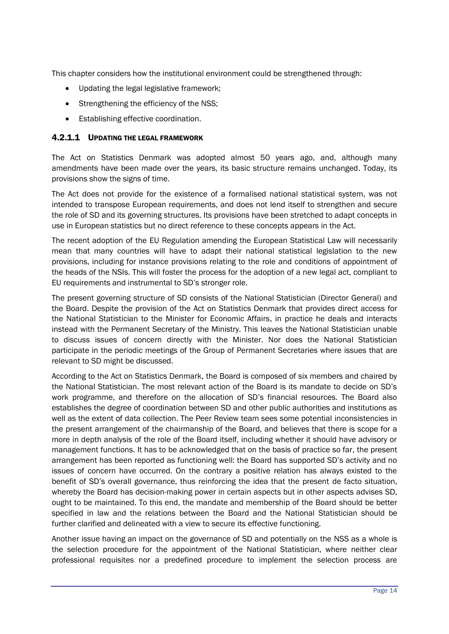This chapter considers how the institutional environment could be strengthened through:

- Updating the legal legislative framework;
- Strengthening the efficiency of the NSS;
- Establishing effective coordination.

#### 4.2.1.1 UPDATING THE LEGAL FRAMEWORK

The Act on Statistics Denmark was adopted almost 50 years ago, and, although many amendments have been made over the years, its basic structure remains unchanged. Today, its provisions show the signs of time.

The Act does not provide for the existence of a formalised national statistical system, was not intended to transpose European requirements, and does not lend itself to strengthen and secure the role of SD and its governing structures. Its provisions have been stretched to adapt concepts in use in European statistics but no direct reference to these concepts appears in the Act.

The recent adoption of the EU Regulation amending the European Statistical Law will necessarily mean that many countries will have to adapt their national statistical legislation to the new provisions, including for instance provisions relating to the role and conditions of appointment of the heads of the NSIs. This will foster the process for the adoption of a new legal act, compliant to EU requirements and instrumental to SD's stronger role.

The present governing structure of SD consists of the National Statistician (Director General) and the Board. Despite the provision of the Act on Statistics Denmark that provides direct access for the National Statistician to the Minister for Economic Affairs, in practice he deals and interacts instead with the Permanent Secretary of the Ministry. This leaves the National Statistician unable to discuss issues of concern directly with the Minister. Nor does the National Statistician participate in the periodic meetings of the Group of Permanent Secretaries where issues that are relevant to SD might be discussed.

According to the Act on Statistics Denmark, the Board is composed of six members and chaired by the National Statistician. The most relevant action of the Board is its mandate to decide on SD's work programme, and therefore on the allocation of SD's financial resources. The Board also establishes the degree of coordination between SD and other public authorities and institutions as well as the extent of data collection. The Peer Review team sees some potential inconsistencies in the present arrangement of the chairmanship of the Board, and believes that there is scope for a more in depth analysis of the role of the Board itself, including whether it should have advisory or management functions. It has to be acknowledged that on the basis of practice so far, the present arrangement has been reported as functioning well: the Board has supported SD's activity and no issues of concern have occurred. On the contrary a positive relation has always existed to the benefit of SD's overall governance, thus reinforcing the idea that the present de facto situation, whereby the Board has decision-making power in certain aspects but in other aspects advises SD, ought to be maintained. To this end, the mandate and membership of the Board should be better specified in law and the relations between the Board and the National Statistician should be further clarified and delineated with a view to secure its effective functioning.

Another issue having an impact on the governance of SD and potentially on the NSS as a whole is the selection procedure for the appointment of the National Statistician, where neither clear professional requisites nor a predefined procedure to implement the selection process are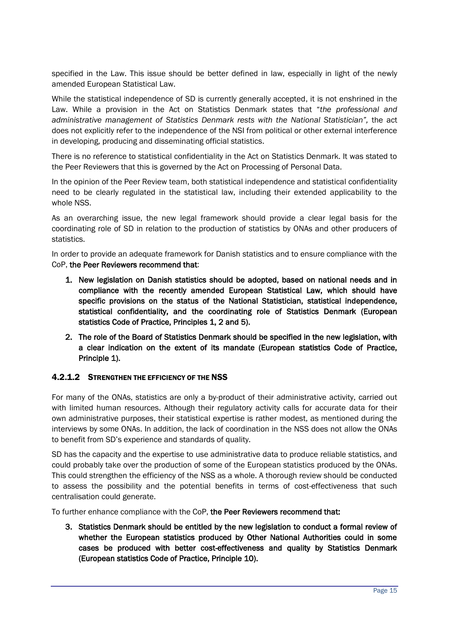specified in the Law. This issue should be better defined in law, especially in light of the newly amended European Statistical Law.

While the statistical independence of SD is currently generally accepted, it is not enshrined in the Law. While a provision in the Act on Statistics Denmark states that "*the professional and administrative management of Statistics Denmark rests with the National Statistician",* the act does not explicitly refer to the independence of the NSI from political or other external interference in developing, producing and disseminating official statistics.

There is no reference to statistical confidentiality in the Act on Statistics Denmark. It was stated to the Peer Reviewers that this is governed by the Act on Processing of Personal Data.

In the opinion of the Peer Review team, both statistical independence and statistical confidentiality need to be clearly regulated in the statistical law, including their extended applicability to the whole NSS.

As an overarching issue, the new legal framework should provide a clear legal basis for the coordinating role of SD in relation to the production of statistics by ONAs and other producers of statistics.

In order to provide an adequate framework for Danish statistics and to ensure compliance with the CoP, the Peer Reviewers recommend that:

- 1. New legislation on Danish statistics should be adopted, based on national needs and in compliance with the recently amended European Statistical Law, which should have specific provisions on the status of the National Statistician, statistical independence, statistical confidentiality, and the coordinating role of Statistics Denmark (European statistics Code of Practice, Principles 1, 2 and 5).
- 2. The role of the Board of Statistics Denmark should be specified in the new legislation, with a clear indication on the extent of its mandate (European statistics Code of Practice, Principle 1).

#### 4.2.1.2 STRENGTHEN THE EFFICIENCY OF THE NSS

For many of the ONAs, statistics are only a by-product of their administrative activity, carried out with limited human resources. Although their regulatory activity calls for accurate data for their own administrative purposes, their statistical expertise is rather modest, as mentioned during the interviews by some ONAs. In addition, the lack of coordination in the NSS does not allow the ONAs to benefit from SD's experience and standards of quality.

SD has the capacity and the expertise to use administrative data to produce reliable statistics, and could probably take over the production of some of the European statistics produced by the ONAs. This could strengthen the efficiency of the NSS as a whole. A thorough review should be conducted to assess the possibility and the potential benefits in terms of cost-effectiveness that such centralisation could generate.

To further enhance compliance with the CoP, the Peer Reviewers recommend that:

3. Statistics Denmark should be entitled by the new legislation to conduct a formal review of whether the European statistics produced by Other National Authorities could in some cases be produced with better cost-effectiveness and quality by Statistics Denmark (European statistics Code of Practice, Principle 10).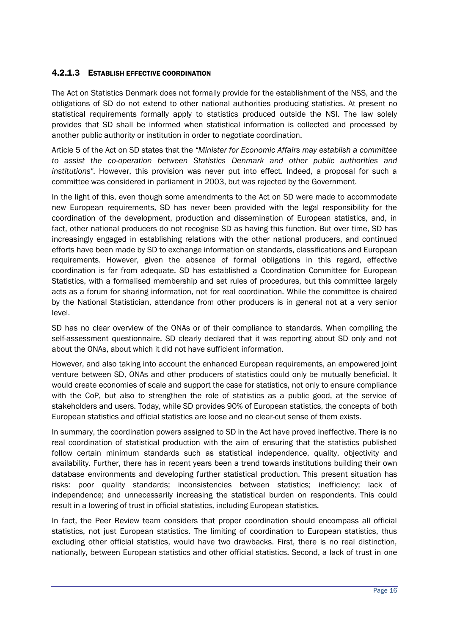#### 4.2.1.3 ESTABLISH EFFECTIVE COORDINATION

The Act on Statistics Denmark does not formally provide for the establishment of the NSS, and the obligations of SD do not extend to other national authorities producing statistics. At present no statistical requirements formally apply to statistics produced outside the NSI. The law solely provides that SD shall be informed when statistical information is collected and processed by another public authority or institution in order to negotiate coordination.

Article 5 of the Act on SD states that the *"Minister for Economic Affairs may establish a committee to assist the co-operation between Statistics Denmark and other public authorities and institutions"*. However, this provision was never put into effect. Indeed, a proposal for such a committee was considered in parliament in 2003, but was rejected by the Government.

In the light of this, even though some amendments to the Act on SD were made to accommodate new European requirements, SD has never been provided with the legal responsibility for the coordination of the development, production and dissemination of European statistics, and, in fact, other national producers do not recognise SD as having this function. But over time, SD has increasingly engaged in establishing relations with the other national producers, and continued efforts have been made by SD to exchange information on standards, classifications and European requirements. However, given the absence of formal obligations in this regard, effective coordination is far from adequate. SD has established a Coordination Committee for European Statistics, with a formalised membership and set rules of procedures, but this committee largely acts as a forum for sharing information, not for real coordination. While the committee is chaired by the National Statistician, attendance from other producers is in general not at a very senior level.

SD has no clear overview of the ONAs or of their compliance to standards. When compiling the self-assessment questionnaire, SD clearly declared that it was reporting about SD only and not about the ONAs, about which it did not have sufficient information.

However, and also taking into account the enhanced European requirements, an empowered joint venture between SD, ONAs and other producers of statistics could only be mutually beneficial. It would create economies of scale and support the case for statistics, not only to ensure compliance with the CoP, but also to strengthen the role of statistics as a public good, at the service of stakeholders and users. Today, while SD provides 90% of European statistics, the concepts of both European statistics and official statistics are loose and no clear-cut sense of them exists.

In summary, the coordination powers assigned to SD in the Act have proved ineffective. There is no real coordination of statistical production with the aim of ensuring that the statistics published follow certain minimum standards such as statistical independence, quality, objectivity and availability. Further, there has in recent years been a trend towards institutions building their own database environments and developing further statistical production. This present situation has risks: poor quality standards; inconsistencies between statistics; inefficiency; lack of independence; and unnecessarily increasing the statistical burden on respondents. This could result in a lowering of trust in official statistics, including European statistics.

In fact, the Peer Review team considers that proper coordination should encompass all official statistics, not just European statistics. The limiting of coordination to European statistics, thus excluding other official statistics, would have two drawbacks. First, there is no real distinction, nationally, between European statistics and other official statistics. Second, a lack of trust in one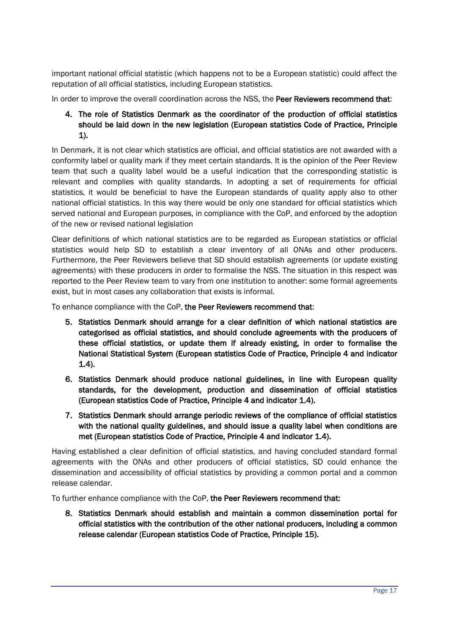important national official statistic (which happens not to be a European statistic) could affect the reputation of all official statistics, including European statistics.

In order to improve the overall coordination across the NSS, the Peer Reviewers recommend that:

#### 4. The role of Statistics Denmark as the coordinator of the production of official statistics should be laid down in the new legislation (European statistics Code of Practice, Principle 1).

In Denmark, it is not clear which statistics are official, and official statistics are not awarded with a conformity label or quality mark if they meet certain standards. It is the opinion of the Peer Review team that such a quality label would be a useful indication that the corresponding statistic is relevant and complies with quality standards. In adopting a set of requirements for official statistics, it would be beneficial to have the European standards of quality apply also to other national official statistics. In this way there would be only one standard for official statistics which served national and European purposes, in compliance with the CoP, and enforced by the adoption of the new or revised national legislation

Clear definitions of which national statistics are to be regarded as European statistics or official statistics would help SD to establish a clear inventory of all ONAs and other producers. Furthermore, the Peer Reviewers believe that SD should establish agreements (or update existing agreements) with these producers in order to formalise the NSS. The situation in this respect was reported to the Peer Review team to vary from one institution to another: some formal agreements exist, but in most cases any collaboration that exists is informal.

To enhance compliance with the CoP, the Peer Reviewers recommend that:

- 5. Statistics Denmark should arrange for a clear definition of which national statistics are categorised as official statistics, and should conclude agreements with the producers of these official statistics, or update them if already existing, in order to formalise the National Statistical System (European statistics Code of Practice, Principle 4 and indicator 1.4).
- 6. Statistics Denmark should produce national guidelines, in line with European quality standards, for the development, production and dissemination of official statistics (European statistics Code of Practice, Principle 4 and indicator 1.4).
- 7. Statistics Denmark should arrange periodic reviews of the compliance of official statistics with the national quality guidelines, and should issue a quality label when conditions are met (European statistics Code of Practice, Principle 4 and indicator 1.4).

Having established a clear definition of official statistics, and having concluded standard formal agreements with the ONAs and other producers of official statistics, SD could enhance the dissemination and accessibility of official statistics by providing a common portal and a common release calendar.

To further enhance compliance with the CoP, the Peer Reviewers recommend that:

8. Statistics Denmark should establish and maintain a common dissemination portal for official statistics with the contribution of the other national producers, including a common release calendar (European statistics Code of Practice, Principle 15).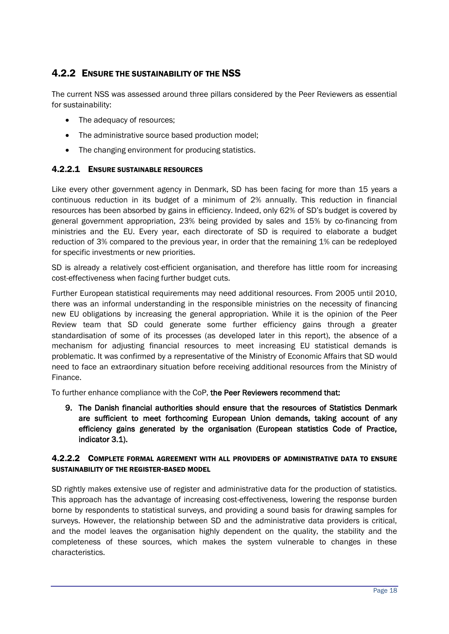## <span id="page-17-0"></span>4.2.2 ENSURE THE SUSTAINABILITY OF THE NSS

The current NSS was assessed around three pillars considered by the Peer Reviewers as essential for sustainability:

- The adequacy of resources;
- The administrative source based production model;
- The changing environment for producing statistics.

#### 4.2.2.1 ENSURE SUSTAINABLE RESOURCES

Like every other government agency in Denmark, SD has been facing for more than 15 years a continuous reduction in its budget of a minimum of 2% annually. This reduction in financial resources has been absorbed by gains in efficiency. Indeed, only 62% of SD's budget is covered by general government appropriation, 23% being provided by sales and 15% by co-financing from ministries and the EU. Every year, each directorate of SD is required to elaborate a budget reduction of 3% compared to the previous year, in order that the remaining 1% can be redeployed for specific investments or new priorities.

SD is already a relatively cost-efficient organisation, and therefore has little room for increasing cost-effectiveness when facing further budget cuts.

Further European statistical requirements may need additional resources. From 2005 until 2010, there was an informal understanding in the responsible ministries on the necessity of financing new EU obligations by increasing the general appropriation. While it is the opinion of the Peer Review team that SD could generate some further efficiency gains through a greater standardisation of some of its processes (as developed later in this report), the absence of a mechanism for adjusting financial resources to meet increasing EU statistical demands is problematic. It was confirmed by a representative of the Ministry of Economic Affairs that SD would need to face an extraordinary situation before receiving additional resources from the Ministry of Finance.

To further enhance compliance with the CoP, the Peer Reviewers recommend that:

9. The Danish financial authorities should ensure that the resources of Statistics Denmark are sufficient to meet forthcoming European Union demands, taking account of any efficiency gains generated by the organisation (European statistics Code of Practice, indicator 3.1).

#### 4.2.2.2 COMPLETE FORMAL AGREEMENT WITH ALL PROVIDERS OF ADMINISTRATIVE DATA TO ENSURE SUSTAINABILITY OF THE REGISTER-BASED MODEL

SD rightly makes extensive use of register and administrative data for the production of statistics. This approach has the advantage of increasing cost-effectiveness, lowering the response burden borne by respondents to statistical surveys, and providing a sound basis for drawing samples for surveys. However, the relationship between SD and the administrative data providers is critical, and the model leaves the organisation highly dependent on the quality, the stability and the completeness of these sources, which makes the system vulnerable to changes in these characteristics.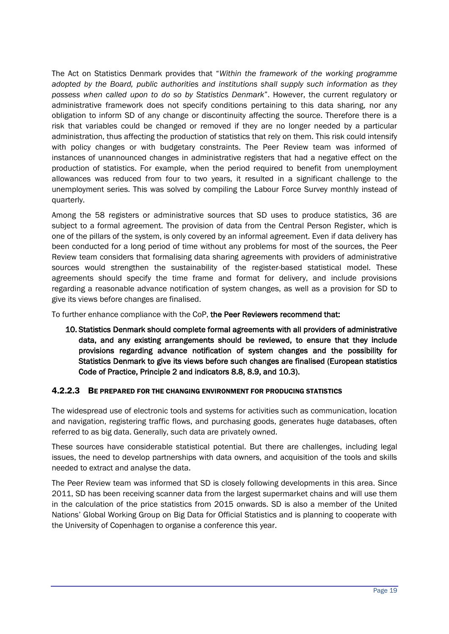The Act on Statistics Denmark provides that "*Within the framework of the working programme adopted by the Board, public authorities and institutions shall supply such information as they possess when called upon to do so by Statistics Denmark*". However, the current regulatory or administrative framework does not specify conditions pertaining to this data sharing, nor any obligation to inform SD of any change or discontinuity affecting the source. Therefore there is a risk that variables could be changed or removed if they are no longer needed by a particular administration, thus affecting the production of statistics that rely on them. This risk could intensify with policy changes or with budgetary constraints. The Peer Review team was informed of instances of unannounced changes in administrative registers that had a negative effect on the production of statistics. For example, when the period required to benefit from unemployment allowances was reduced from four to two years, it resulted in a significant challenge to the unemployment series. This was solved by compiling the Labour Force Survey monthly instead of quarterly.

Among the 58 registers or administrative sources that SD uses to produce statistics, 36 are subject to a formal agreement. The provision of data from the Central Person Register, which is one of the pillars of the system, is only covered by an informal agreement. Even if data delivery has been conducted for a long period of time without any problems for most of the sources, the Peer Review team considers that formalising data sharing agreements with providers of administrative sources would strengthen the sustainability of the register-based statistical model. These agreements should specify the time frame and format for delivery, and include provisions regarding a reasonable advance notification of system changes, as well as a provision for SD to give its views before changes are finalised.

To further enhance compliance with the CoP, the Peer Reviewers recommend that:

10. Statistics Denmark should complete formal agreements with all providers of administrative data, and any existing arrangements should be reviewed, to ensure that they include provisions regarding advance notification of system changes and the possibility for Statistics Denmark to give its views before such changes are finalised (European statistics Code of Practice, Principle 2 and indicators 8.8, 8.9, and 10.3).

#### 4.2.2.3 BE PREPARED FOR THE CHANGING ENVIRONMENT FOR PRODUCING STATISTICS

The widespread use of electronic tools and systems for activities such as communication, location and navigation, registering traffic flows, and purchasing goods, generates huge databases, often referred to as big data. Generally, such data are privately owned.

These sources have considerable statistical potential. But there are challenges, including legal issues, the need to develop partnerships with data owners, and acquisition of the tools and skills needed to extract and analyse the data.

The Peer Review team was informed that SD is closely following developments in this area. Since 2011, SD has been receiving scanner data from the largest supermarket chains and will use them in the calculation of the price statistics from 2015 onwards. SD is also a member of the United Nations' Global Working Group on Big Data for Official Statistics and is planning to cooperate with the University of Copenhagen to organise a conference this year.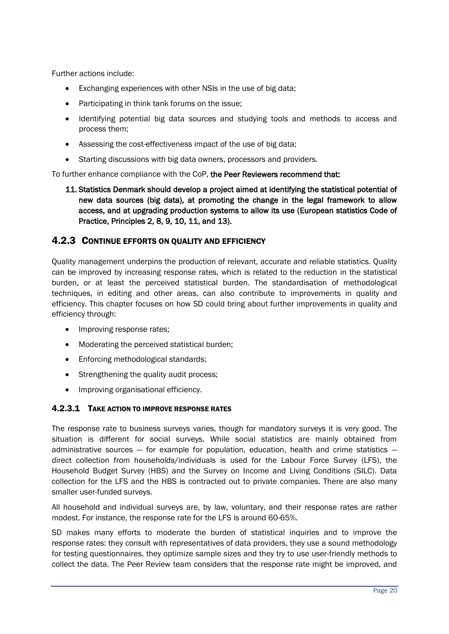Further actions include:

- Exchanging experiences with other NSIs in the use of big data;
- Participating in think tank forums on the issue;
- Identifying potential big data sources and studying tools and methods to access and process them;
- Assessing the cost-effectiveness impact of the use of big data;
- Starting discussions with big data owners, processors and providers.

To further enhance compliance with the CoP, the Peer Reviewers recommend that:

11. Statistics Denmark should develop a project aimed at identifying the statistical potential of new data sources (big data), at promoting the change in the legal framework to allow access, and at upgrading production systems to allow its use (European statistics Code of Practice, Principles 2, 8, 9, 10, 11, and 13).

#### <span id="page-19-0"></span>4.2.3 CONTINUE EFFORTS ON QUALITY AND EFFICIENCY

Quality management underpins the production of relevant, accurate and reliable statistics. Quality can be improved by increasing response rates, which is related to the reduction in the statistical burden, or at least the perceived statistical burden. The standardisation of methodological techniques, in editing and other areas, can also contribute to improvements in quality and efficiency. This chapter focuses on how SD could bring about further improvements in quality and efficiency through:

- Improving response rates;
- Moderating the perceived statistical burden;
- Enforcing methodological standards;
- Strengthening the quality audit process;
- Improving organisational efficiency.

#### 4.2.3.1 TAKE ACTION TO IMPROVE RESPONSE RATES

The response rate to business surveys varies, though for mandatory surveys it is very good. The situation is different for social surveys. While social statistics are mainly obtained from administrative sources  $-$  for example for population, education, health and crime statistics  $$ direct collection from households/individuals is used for the Labour Force Survey (LFS), the Household Budget Survey (HBS) and the Survey on Income and Living Conditions (SILC). Data collection for the LFS and the HBS is contracted out to private companies. There are also many smaller user-funded surveys.

All household and individual surveys are, by law, voluntary, and their response rates are rather modest. For instance, the response rate for the LFS is around 60-65%.

SD makes many efforts to moderate the burden of statistical inquiries and to improve the response rates: they consult with representatives of data providers, they use a sound methodology for testing questionnaires, they optimize sample sizes and they try to use user-friendly methods to collect the data. The Peer Review team considers that the response rate might be improved, and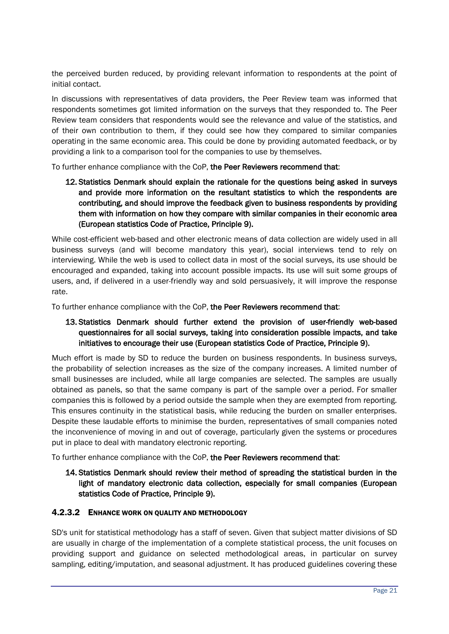the perceived burden reduced, by providing relevant information to respondents at the point of initial contact.

In discussions with representatives of data providers, the Peer Review team was informed that respondents sometimes got limited information on the surveys that they responded to. The Peer Review team considers that respondents would see the relevance and value of the statistics, and of their own contribution to them, if they could see how they compared to similar companies operating in the same economic area. This could be done by providing automated feedback, or by providing a link to a comparison tool for the companies to use by themselves.

To further enhance compliance with the CoP, the Peer Reviewers recommend that:

12. Statistics Denmark should explain the rationale for the questions being asked in surveys and provide more information on the resultant statistics to which the respondents are contributing, and should improve the feedback given to business respondents by providing them with information on how they compare with similar companies in their economic area (European statistics Code of Practice, Principle 9).

While cost-efficient web-based and other electronic means of data collection are widely used in all business surveys (and will become mandatory this year), social interviews tend to rely on interviewing. While the web is used to collect data in most of the social surveys, its use should be encouraged and expanded, taking into account possible impacts. Its use will suit some groups of users, and, if delivered in a user-friendly way and sold persuasively, it will improve the response rate.

To further enhance compliance with the CoP, the Peer Reviewers recommend that:

#### 13. Statistics Denmark should further extend the provision of user-friendly web-based questionnaires for all social surveys, taking into consideration possible impacts, and take initiatives to encourage their use (European statistics Code of Practice, Principle 9).

Much effort is made by SD to reduce the burden on business respondents. In business surveys, the probability of selection increases as the size of the company increases. A limited number of small businesses are included, while all large companies are selected. The samples are usually obtained as panels, so that the same company is part of the sample over a period. For smaller companies this is followed by a period outside the sample when they are exempted from reporting. This ensures continuity in the statistical basis, while reducing the burden on smaller enterprises. Despite these laudable efforts to minimise the burden, representatives of small companies noted the inconvenience of moving in and out of coverage, particularly given the systems or procedures put in place to deal with mandatory electronic reporting.

To further enhance compliance with the CoP, the Peer Reviewers recommend that:

#### 14. Statistics Denmark should review their method of spreading the statistical burden in the light of mandatory electronic data collection, especially for small companies (European statistics Code of Practice, Principle 9).

#### 4.2.3.2 ENHANCE WORK ON QUALITY AND METHODOLOGY

SD's unit for statistical methodology has a staff of seven. Given that subject matter divisions of SD are usually in charge of the implementation of a complete statistical process, the unit focuses on providing support and guidance on selected methodological areas, in particular on survey sampling, editing/imputation, and seasonal adjustment. It has produced guidelines covering these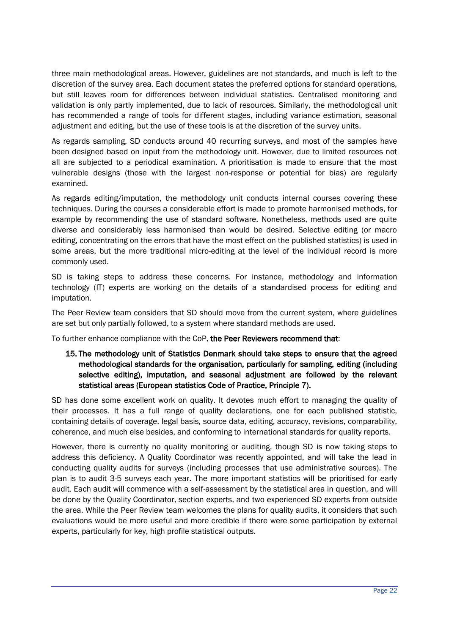three main methodological areas. However, guidelines are not standards, and much is left to the discretion of the survey area. Each document states the preferred options for standard operations, but still leaves room for differences between individual statistics. Centralised monitoring and validation is only partly implemented, due to lack of resources. Similarly, the methodological unit has recommended a range of tools for different stages, including variance estimation, seasonal adjustment and editing, but the use of these tools is at the discretion of the survey units.

As regards sampling, SD conducts around 40 recurring surveys, and most of the samples have been designed based on input from the methodology unit. However, due to limited resources not all are subjected to a periodical examination. A prioritisation is made to ensure that the most vulnerable designs (those with the largest non-response or potential for bias) are regularly examined.

As regards editing/imputation, the methodology unit conducts internal courses covering these techniques. During the courses a considerable effort is made to promote harmonised methods, for example by recommending the use of standard software. Nonetheless, methods used are quite diverse and considerably less harmonised than would be desired. Selective editing (or macro editing, concentrating on the errors that have the most effect on the published statistics) is used in some areas, but the more traditional micro-editing at the level of the individual record is more commonly used.

SD is taking steps to address these concerns. For instance, methodology and information technology (IT) experts are working on the details of a standardised process for editing and imputation.

The Peer Review team considers that SD should move from the current system, where guidelines are set but only partially followed, to a system where standard methods are used.

To further enhance compliance with the CoP, the Peer Reviewers recommend that:

#### 15. The methodology unit of Statistics Denmark should take steps to ensure that the agreed methodological standards for the organisation, particularly for sampling, editing (including selective editing), imputation, and seasonal adjustment are followed by the relevant statistical areas (European statistics Code of Practice, Principle 7).

SD has done some excellent work on quality. It devotes much effort to managing the quality of their processes. It has a full range of quality declarations, one for each published statistic, containing details of coverage, legal basis, source data, editing, accuracy, revisions, comparability, coherence, and much else besides, and conforming to international standards for quality reports.

However, there is currently no quality monitoring or auditing, though SD is now taking steps to address this deficiency. A Quality Coordinator was recently appointed, and will take the lead in conducting quality audits for surveys (including processes that use administrative sources). The plan is to audit 3-5 surveys each year. The more important statistics will be prioritised for early audit. Each audit will commence with a self-assessment by the statistical area in question, and will be done by the Quality Coordinator, section experts, and two experienced SD experts from outside the area. While the Peer Review team welcomes the plans for quality audits, it considers that such evaluations would be more useful and more credible if there were some participation by external experts, particularly for key, high profile statistical outputs.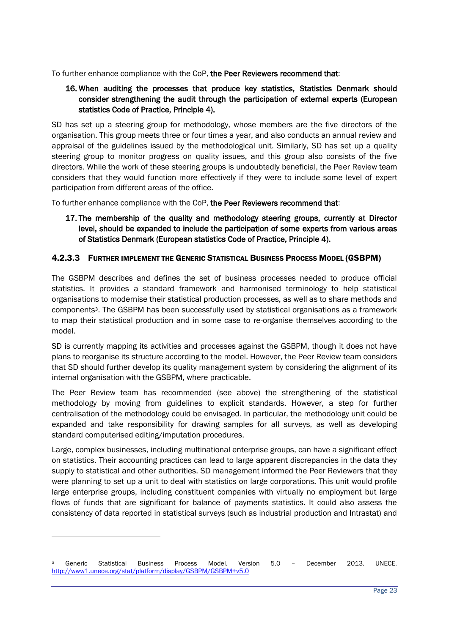To further enhance compliance with the CoP, the Peer Reviewers recommend that:

#### 16. When auditing the processes that produce key statistics, Statistics Denmark should consider strengthening the audit through the participation of external experts (European statistics Code of Practice, Principle 4).

SD has set up a steering group for methodology, whose members are the five directors of the organisation. This group meets three or four times a year, and also conducts an annual review and appraisal of the guidelines issued by the methodological unit. Similarly, SD has set up a quality steering group to monitor progress on quality issues, and this group also consists of the five directors. While the work of these steering groups is undoubtedly beneficial, the Peer Review team considers that they would function more effectively if they were to include some level of expert participation from different areas of the office.

To further enhance compliance with the CoP, the Peer Reviewers recommend that:

#### 17. The membership of the quality and methodology steering groups, currently at Director level, should be expanded to include the participation of some experts from various areas of Statistics Denmark (European statistics Code of Practice, Principle 4).

#### 4.2.3.3 FURTHER IMPLEMENT THE GENERIC STATISTICAL BUSINESS PROCESS MODEL (GSBPM)

The GSBPM describes and defines the set of business processes needed to produce official statistics. It provides a standard framework and harmonised terminology to help statistical organisations to modernise their statistical production processes, as well as to share methods and components3. The GSBPM has been successfully used by statistical organisations as a framework to map their statistical production and in some case to re-organise themselves according to the model.

SD is currently mapping its activities and processes against the GSBPM, though it does not have plans to reorganise its structure according to the model. However, the Peer Review team considers that SD should further develop its quality management system by considering the alignment of its internal organisation with the GSBPM, where practicable.

The Peer Review team has recommended (see above) the strengthening of the statistical methodology by moving from guidelines to explicit standards. However, a step for further centralisation of the methodology could be envisaged. In particular, the methodology unit could be expanded and take responsibility for drawing samples for all surveys, as well as developing standard computerised editing/imputation procedures.

Large, complex businesses, including multinational enterprise groups, can have a significant effect on statistics. Their accounting practices can lead to large apparent discrepancies in the data they supply to statistical and other authorities. SD management informed the Peer Reviewers that they were planning to set up a unit to deal with statistics on large corporations. This unit would profile large enterprise groups, including constituent companies with virtually no employment but large flows of funds that are significant for balance of payments statistics. It could also assess the consistency of data reported in statistical surveys (such as industrial production and Intrastat) and

 $\overline{a}$ 

<sup>3</sup> Generic Statistical Business Process Model. Version 5.0 – December 2013. UNECE. <http://www1.unece.org/stat/platform/display/GSBPM/GSBPM+v5.0>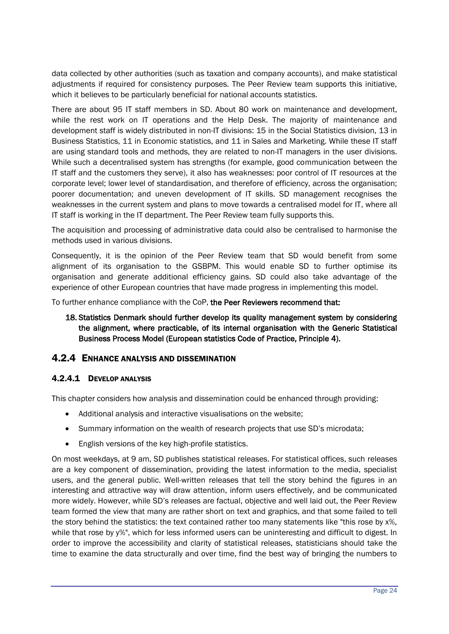data collected by other authorities (such as taxation and company accounts), and make statistical adjustments if required for consistency purposes. The Peer Review team supports this initiative, which it believes to be particularly beneficial for national accounts statistics.

There are about 95 IT staff members in SD. About 80 work on maintenance and development, while the rest work on IT operations and the Help Desk. The majority of maintenance and development staff is widely distributed in non-IT divisions: 15 in the Social Statistics division, 13 in Business Statistics, 11 in Economic statistics, and 11 in Sales and Marketing. While these IT staff are using standard tools and methods, they are related to non-IT managers in the user divisions. While such a decentralised system has strengths (for example, good communication between the IT staff and the customers they serve), it also has weaknesses: poor control of IT resources at the corporate level; lower level of standardisation, and therefore of efficiency, across the organisation; poorer documentation; and uneven development of IT skills. SD management recognises the weaknesses in the current system and plans to move towards a centralised model for IT, where all IT staff is working in the IT department. The Peer Review team fully supports this.

The acquisition and processing of administrative data could also be centralised to harmonise the methods used in various divisions.

Consequently, it is the opinion of the Peer Review team that SD would benefit from some alignment of its organisation to the GSBPM. This would enable SD to further optimise its organisation and generate additional efficiency gains. SD could also take advantage of the experience of other European countries that have made progress in implementing this model.

To further enhance compliance with the CoP, the Peer Reviewers recommend that:

18. Statistics Denmark should further develop its quality management system by considering the alignment, where practicable, of its internal organisation with the Generic Statistical Business Process Model (European statistics Code of Practice, Principle 4).

#### <span id="page-23-0"></span>4.2.4 ENHANCE ANALYSIS AND DISSEMINATION

#### 4.2.4.1 DEVELOP ANALYSIS

This chapter considers how analysis and dissemination could be enhanced through providing:

- Additional analysis and interactive visualisations on the website;
- Summary information on the wealth of research projects that use SD's microdata;
- English versions of the key high-profile statistics.

On most weekdays, at 9 am, SD publishes statistical releases. For statistical offices, such releases are a key component of dissemination, providing the latest information to the media, specialist users, and the general public. Well-written releases that tell the story behind the figures in an interesting and attractive way will draw attention, inform users effectively, and be communicated more widely. However, while SD's releases are factual, objective and well laid out, the Peer Review team formed the view that many are rather short on text and graphics, and that some failed to tell the story behind the statistics: the text contained rather too many statements like "this rose by x%, while that rose by y%", which for less informed users can be uninteresting and difficult to digest. In order to improve the accessibility and clarity of statistical releases, statisticians should take the time to examine the data structurally and over time, find the best way of bringing the numbers to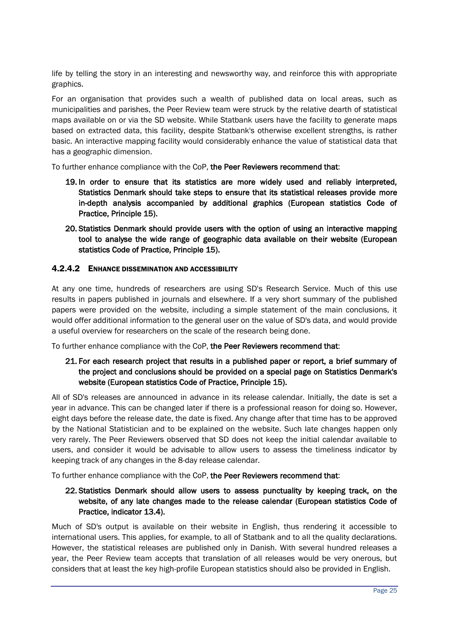life by telling the story in an interesting and newsworthy way, and reinforce this with appropriate graphics.

For an organisation that provides such a wealth of published data on local areas, such as municipalities and parishes, the Peer Review team were struck by the relative dearth of statistical maps available on or via the SD website. While Statbank users have the facility to generate maps based on extracted data, this facility, despite Statbank's otherwise excellent strengths, is rather basic. An interactive mapping facility would considerably enhance the value of statistical data that has a geographic dimension.

To further enhance compliance with the CoP, the Peer Reviewers recommend that:

- 19. In order to ensure that its statistics are more widely used and reliably interpreted, Statistics Denmark should take steps to ensure that its statistical releases provide more in-depth analysis accompanied by additional graphics (European statistics Code of Practice, Principle 15).
- 20. Statistics Denmark should provide users with the option of using an interactive mapping tool to analyse the wide range of geographic data available on their website (European statistics Code of Practice, Principle 15).

#### 4.2.4.2 ENHANCE DISSEMINATION AND ACCESSIBILITY

At any one time, hundreds of researchers are using SD's Research Service. Much of this use results in papers published in journals and elsewhere. If a very short summary of the published papers were provided on the website, including a simple statement of the main conclusions, it would offer additional information to the general user on the value of SD's data, and would provide a useful overview for researchers on the scale of the research being done.

To further enhance compliance with the CoP, the Peer Reviewers recommend that:

#### 21. For each research project that results in a published paper or report, a brief summary of the project and conclusions should be provided on a special page on Statistics Denmark's website (European statistics Code of Practice, Principle 15).

All of SD's releases are announced in advance in its release calendar. Initially, the date is set a year in advance. This can be changed later if there is a professional reason for doing so. However, eight days before the release date, the date is fixed. Any change after that time has to be approved by the National Statistician and to be explained on the website. Such late changes happen only very rarely. The Peer Reviewers observed that SD does not keep the initial calendar available to users, and consider it would be advisable to allow users to assess the timeliness indicator by keeping track of any changes in the 8-day release calendar.

To further enhance compliance with the CoP, the Peer Reviewers recommend that:

#### 22. Statistics Denmark should allow users to assess punctuality by keeping track, on the website, of any late changes made to the release calendar (European statistics Code of Practice, indicator 13.4).

Much of SD's output is available on their website in English, thus rendering it accessible to international users. This applies, for example, to all of Statbank and to all the quality declarations. However, the statistical releases are published only in Danish. With several hundred releases a year, the Peer Review team accepts that translation of all releases would be very onerous, but considers that at least the key high-profile European statistics should also be provided in English.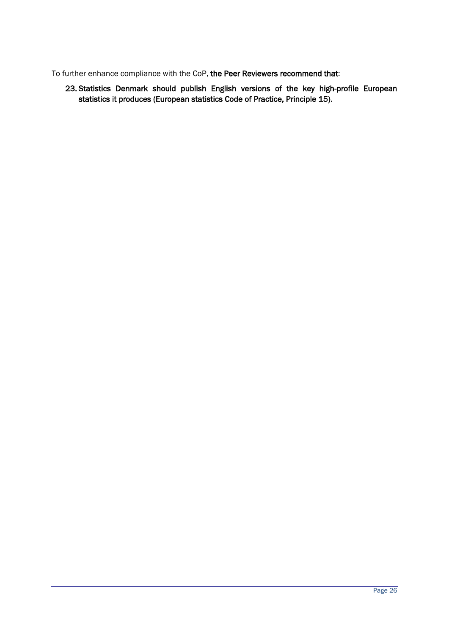To further enhance compliance with the CoP, the Peer Reviewers recommend that:

23. Statistics Denmark should publish English versions of the key high-profile European statistics it produces (European statistics Code of Practice, Principle 15).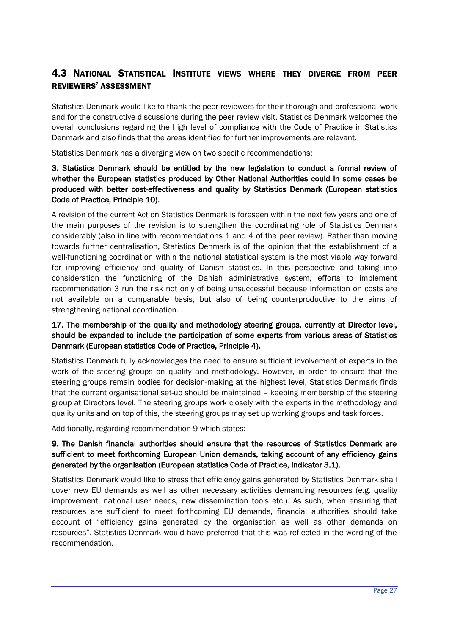## <span id="page-26-0"></span>4.3 NATIONAL STATISTICAL INSTITUTE VIEWS WHERE THEY DIVERGE FROM PEER REVIEWERS' ASSESSMENT

Statistics Denmark would like to thank the peer reviewers for their thorough and professional work and for the constructive discussions during the peer review visit. Statistics Denmark welcomes the overall conclusions regarding the high level of compliance with the Code of Practice in Statistics Denmark and also finds that the areas identified for further improvements are relevant.

Statistics Denmark has a diverging view on two specific recommendations:

#### 3. Statistics Denmark should be entitled by the new legislation to conduct a formal review of whether the European statistics produced by Other National Authorities could in some cases be produced with better cost-effectiveness and quality by Statistics Denmark (European statistics Code of Practice, Principle 10).

A revision of the current Act on Statistics Denmark is foreseen within the next few years and one of the main purposes of the revision is to strengthen the coordinating role of Statistics Denmark considerably (also in line with recommendations 1 and 4 of the peer review). Rather than moving towards further centralisation, Statistics Denmark is of the opinion that the establishment of a well-functioning coordination within the national statistical system is the most viable way forward for improving efficiency and quality of Danish statistics. In this perspective and taking into consideration the functioning of the Danish administrative system, efforts to implement recommendation 3 run the risk not only of being unsuccessful because information on costs are not available on a comparable basis, but also of being counterproductive to the aims of strengthening national coordination.

#### 17. The membership of the quality and methodology steering groups, currently at Director level, should be expanded to include the participation of some experts from various areas of Statistics Denmark (European statistics Code of Practice, Principle 4).

Statistics Denmark fully acknowledges the need to ensure sufficient involvement of experts in the work of the steering groups on quality and methodology. However, in order to ensure that the steering groups remain bodies for decision-making at the highest level, Statistics Denmark finds that the current organisational set-up should be maintained – keeping membership of the steering group at Directors level. The steering groups work closely with the experts in the methodology and quality units and on top of this, the steering groups may set up working groups and task forces.

Additionally, regarding recommendation 9 which states:

#### 9. The Danish financial authorities should ensure that the resources of Statistics Denmark are sufficient to meet forthcoming European Union demands, taking account of any efficiency gains generated by the organisation (European statistics Code of Practice, indicator 3.1).

Statistics Denmark would like to stress that efficiency gains generated by Statistics Denmark shall cover new EU demands as well as other necessary activities demanding resources (e.g. quality improvement, national user needs, new dissemination tools etc.). As such, when ensuring that resources are sufficient to meet forthcoming EU demands, financial authorities should take account of "efficiency gains generated by the organisation as well as other demands on resources". Statistics Denmark would have preferred that this was reflected in the wording of the recommendation.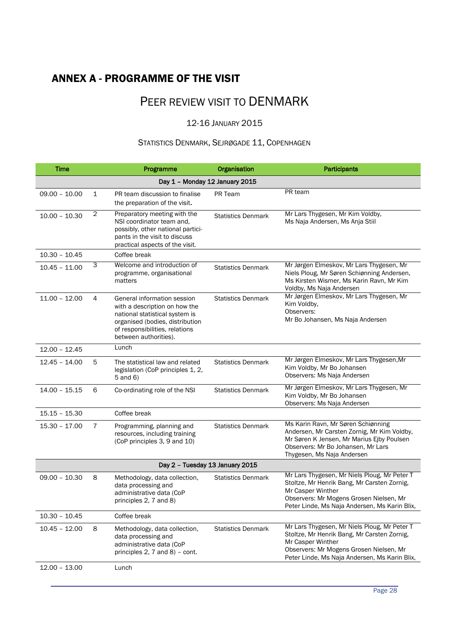## <span id="page-27-0"></span>ANNEX A - PROGRAMME OF THE VISIT

# PEER REVIEW VISIT TO DENMARK

#### 12-16 JANUARY 2015

### STATISTICS DENMARK, SEJRØGADE 11, COPENHAGEN

| <b>Time</b>     |                                | Programme                                                                                                                                                                                    | Organisation              | <b>Participants</b>                                                                                                                                                                                          |  |  |
|-----------------|--------------------------------|----------------------------------------------------------------------------------------------------------------------------------------------------------------------------------------------|---------------------------|--------------------------------------------------------------------------------------------------------------------------------------------------------------------------------------------------------------|--|--|
|                 | Day 1 - Monday 12 January 2015 |                                                                                                                                                                                              |                           |                                                                                                                                                                                                              |  |  |
| $09.00 - 10.00$ | 1                              | PR team discussion to finalise<br>the preparation of the visit.                                                                                                                              | PR Team                   | PR team                                                                                                                                                                                                      |  |  |
| $10.00 - 10.30$ | 2                              | Preparatory meeting with the<br>NSI coordinator team and,<br>possibly, other national partici-<br>pants in the visit to discuss<br>practical aspects of the visit.                           | <b>Statistics Denmark</b> | Mr Lars Thygesen, Mr Kim Voldby,<br>Ms Naja Andersen, Ms Anja Stiil                                                                                                                                          |  |  |
| $10.30 - 10.45$ |                                | Coffee break                                                                                                                                                                                 |                           |                                                                                                                                                                                                              |  |  |
| $10.45 - 11.00$ | 3                              | Welcome and introduction of<br>programme, organisational<br>matters                                                                                                                          | <b>Statistics Denmark</b> | Mr Jørgen Elmeskov, Mr Lars Thygesen, Mr<br>Niels Ploug, Mr Søren Schiønning Andersen,<br>Ms Kirsten Wismer, Ms Karin Ravn, Mr Kim<br>Voldby, Ms Naja Andersen                                               |  |  |
| $11.00 - 12.00$ | 4                              | General information session<br>with a description on how the<br>national statistical system is<br>organised (bodies, distribution<br>of responsibilities, relations<br>between authorities). | <b>Statistics Denmark</b> | Mr Jørgen Elmeskov, Mr Lars Thygesen, Mr<br>Kim Voldby,<br>Observers:<br>Mr Bo Johansen, Ms Naja Andersen                                                                                                    |  |  |
| $12.00 - 12.45$ |                                | Lunch                                                                                                                                                                                        |                           |                                                                                                                                                                                                              |  |  |
| $12.45 - 14.00$ | 5                              | The statistical law and related<br>legislation (CoP principles 1, 2,<br>5 and 6)                                                                                                             | <b>Statistics Denmark</b> | Mr Jørgen Elmeskov, Mr Lars Thygesen, Mr<br>Kim Voldby, Mr Bo Johansen<br>Observers: Ms Naja Andersen                                                                                                        |  |  |
| $14.00 - 15.15$ | 6                              | Co-ordinating role of the NSI                                                                                                                                                                | <b>Statistics Denmark</b> | Mr Jørgen Elmeskov, Mr Lars Thygesen, Mr<br>Kim Voldby, Mr Bo Johansen<br>Observers: Ms Naja Andersen                                                                                                        |  |  |
| $15.15 - 15.30$ |                                | Coffee break                                                                                                                                                                                 |                           |                                                                                                                                                                                                              |  |  |
| $15.30 - 17.00$ | $\overline{7}$                 | Programming, planning and<br>resources, including training<br>(CoP principles 3, 9 and 10)                                                                                                   | <b>Statistics Denmark</b> | Ms Karin Ravn, Mr Søren Schiønning<br>Andersen, Mr Carsten Zornig, Mr Kim Voldby,<br>Mr Søren K Jensen, Mr Marius Ejby Poulsen<br>Observers: Mr Bo Johansen, Mr Lars<br>Thygesen, Ms Naja Andersen           |  |  |
|                 |                                | Day 2 - Tuesday 13 January 2015                                                                                                                                                              |                           |                                                                                                                                                                                                              |  |  |
| $09.00 - 10.30$ | 8                              | Methodology, data collection,<br>data processing and<br>administrative data (CoP<br>principles 2, 7 and 8)                                                                                   | <b>Statistics Denmark</b> | Mr Lars Thygesen, Mr Niels Ploug, Mr Peter T<br>Stoltze, Mr Henrik Bang, Mr Carsten Zornig,<br>Mr Casper Winther<br>Observers: Mr Mogens Grosen Nielsen, Mr<br>Peter Linde, Ms Naja Andersen, Ms Karin Blix, |  |  |
| $10.30 - 10.45$ |                                | Coffee break                                                                                                                                                                                 |                           |                                                                                                                                                                                                              |  |  |
| $10.45 - 12.00$ | 8                              | Methodology, data collection,<br>data processing and<br>administrative data (CoP<br>principles $2$ , 7 and $8$ ) – cont.                                                                     | <b>Statistics Denmark</b> | Mr Lars Thygesen, Mr Niels Ploug, Mr Peter T<br>Stoltze, Mr Henrik Bang, Mr Carsten Zornig,<br>Mr Casper Winther<br>Observers: Mr Mogens Grosen Nielsen, Mr<br>Peter Linde, Ms Naja Andersen, Ms Karin Blix, |  |  |
| $12.00 - 13.00$ |                                | Lunch                                                                                                                                                                                        |                           |                                                                                                                                                                                                              |  |  |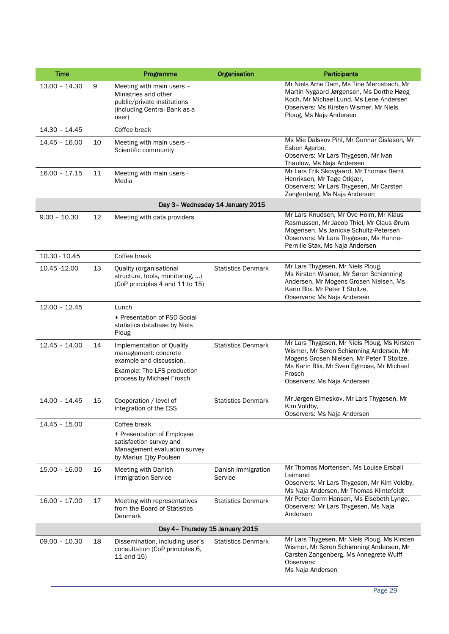| <b>Time</b>     |    | Programme                                                                                                                                | Organisation                     | <b>Participants</b>                                                                                                                                                                                                          |
|-----------------|----|------------------------------------------------------------------------------------------------------------------------------------------|----------------------------------|------------------------------------------------------------------------------------------------------------------------------------------------------------------------------------------------------------------------------|
| $13.00 - 14.30$ | 9  | Meeting with main users -<br>Ministries and other<br>public/private institutions<br>(including Central Bank as a<br>user)                |                                  | Mr Niels Arne Dam, Ms Tine Mercebach, Mr<br>Martin Nygaard Jørgensen, Ms Dorthe Høeg<br>Koch, Mr Michael Lund, Ms Lene Andersen<br>Observers: Ms Kirsten Wismer, Mr Niels<br>Ploug, Ms Naja Andersen                         |
| $14.30 - 14.45$ |    | Coffee break                                                                                                                             |                                  |                                                                                                                                                                                                                              |
| $14.45 - 16.00$ | 10 | Meeting with main users -<br>Scientific community                                                                                        |                                  | Ms Mie Dalskov Pihl, Mr Gunnar Gislason, Mr<br>Esben Agerbo,<br>Observers: Mr Lars Thygesen, Mr Ivan<br>Thaulow, Ms Naja Andersen                                                                                            |
| $16.00 - 17.15$ | 11 | Meeting with main users -<br>Media                                                                                                       |                                  | Mr Lars Erik Skovgaard, Mr Thomas Bernt<br>Henriksen, Mr Tage Otkjær,<br>Observers: Mr Lars Thygesen, Mr Carsten<br>Zangenberg, Ms Naja Andersen                                                                             |
|                 |    |                                                                                                                                          | Day 3- Wednesday 14 January 2015 |                                                                                                                                                                                                                              |
| $9.00 - 10.30$  | 12 | Meeting with data providers                                                                                                              |                                  | Mr Lars Knudsen, Mr Ove Holm, Mr Klaus<br>Rasmussen, Mr Jacob Thiel, Mr Claus Ørum<br>Mogensen, Ms Janicke Schultz-Petersen<br>Observers: Mr Lars Thygesen, Ms Hanne-<br>Pernille Stax, Ms Naja Andersen                     |
| $10.30 - 10.45$ |    | Coffee break                                                                                                                             |                                  |                                                                                                                                                                                                                              |
| 10.45 - 12.00   | 13 | Quality (organisational<br>structure, tools, monitoring, )<br>(CoP principles 4 and 11 to 15)                                            | <b>Statistics Denmark</b>        | Mr Lars Thygesen, Mr Niels Ploug,<br>Ms Kirsten Wismer, Mr Søren Schiønning<br>Andersen, Mr Mogens Grosen Nielsen, Ms<br>Karin Blix, Mr Peter T Stoltze,<br>Observers: Ms Naja Andersen                                      |
| $12.00 - 12.45$ |    | Lunch<br>+ Presentation of PSD Social<br>statistics database by Niels<br>Ploug                                                           |                                  |                                                                                                                                                                                                                              |
| $12.45 - 14.00$ | 14 | Implementation of Quality<br>management: concrete<br>example and discussion.<br>Example: The LFS production<br>process by Michael Frosch | <b>Statistics Denmark</b>        | Mr Lars Thygesen, Mr Niels Ploug, Ms Kirsten<br>Wismer, Mr Søren Schiønning Andersen, Mr<br>Mogens Grosen Nielsen, Mr Peter T Stoltze,<br>Ms Karin Blix, Mr Sven Egmose, Mr Michael<br>Frosch<br>Observers: Ms Naja Andersen |
| $14.00 - 14.45$ | 15 | Cooperation / level of<br>integration of the ESS                                                                                         | <b>Statistics Denmark</b>        | Mr Jørgen Elmeskov, Mr Lars Thygesen, Mr<br>Kim Voldby,<br>Observers: Ms Naja Andersen                                                                                                                                       |
| $14.45 - 15.00$ |    | Coffee break<br>+ Presentation of Employee<br>satisfaction survey and<br>Management evaluation survey<br>by Marius Ejby Poulsen          |                                  |                                                                                                                                                                                                                              |
| $15.00 - 16.00$ | 16 | Meeting with Danish<br><b>Immigration Service</b>                                                                                        | Danish Immigration<br>Service    | Mr Thomas Mortensen, Ms Louise Ersbøll<br>Leimand<br>Observers: Mr Lars Thygesen, Mr Kim Voldby,<br>Ms Naja Andersen, Mr Thomas Klintefeldt                                                                                  |
| $16.00 - 17.00$ | 17 | Meeting with representatives<br>from the Board of Statistics<br>Denmark                                                                  | <b>Statistics Denmark</b>        | Mr Peter Gorm Hansen, Ms Elsebeth Lynge,<br>Observers: Mr Lars Thygesen, Ms Naja<br>Andersen                                                                                                                                 |
|                 |    | Day 4- Thursday 15 January 2015                                                                                                          |                                  |                                                                                                                                                                                                                              |
| $09.00 - 10.30$ | 18 | Dissemination, including user's<br>consultation (CoP principles 6,<br>11 and 15)                                                         | <b>Statistics Denmark</b>        | Mr Lars Thygesen, Mr Niels Ploug, Ms Kirsten<br>Wismer, Mr Søren Schiønning Andersen, Mr<br>Carsten Zangenberg, Ms Annegrete Wulff<br>Observers:<br>Ms Naja Andersen                                                         |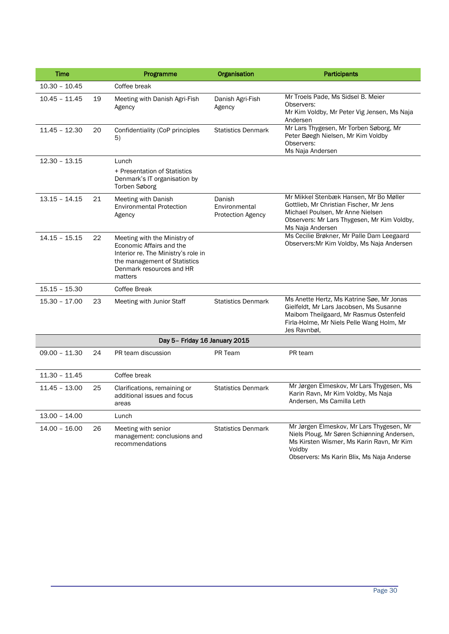| Time            |    | Programme                                                                                                                                                              | Organisation                                 | <b>Participants</b>                                                                                                                                                                         |
|-----------------|----|------------------------------------------------------------------------------------------------------------------------------------------------------------------------|----------------------------------------------|---------------------------------------------------------------------------------------------------------------------------------------------------------------------------------------------|
| $10.30 - 10.45$ |    | Coffee break                                                                                                                                                           |                                              |                                                                                                                                                                                             |
| $10.45 - 11.45$ | 19 | Meeting with Danish Agri-Fish<br>Agency                                                                                                                                | Danish Agri-Fish<br>Agency                   | Mr Troels Pade, Ms Sidsel B. Meier<br>Observers:<br>Mr Kim Voldby, Mr Peter Vig Jensen, Ms Naja<br>Andersen                                                                                 |
| $11.45 - 12.30$ | 20 | Confidentiality (CoP principles<br>5)                                                                                                                                  | <b>Statistics Denmark</b>                    | Mr Lars Thygesen, Mr Torben Søborg, Mr<br>Peter Bøegh Nielsen, Mr Kim Voldby<br>Observers:<br>Ms Naja Andersen                                                                              |
| $12.30 - 13.15$ |    | Lunch                                                                                                                                                                  |                                              |                                                                                                                                                                                             |
|                 |    | + Presentation of Statistics<br>Denmark's IT organisation by<br><b>Torben Søborg</b>                                                                                   |                                              |                                                                                                                                                                                             |
| $13.15 - 14.15$ | 21 | Meeting with Danish<br><b>Environmental Protection</b><br>Agency                                                                                                       | Danish<br>Environmental<br>Protection Agency | Mr Mikkel Stenbæk Hansen, Mr Bo Møller<br>Gottlieb, Mr Christian Fischer, Mr Jens<br>Michael Poulsen, Mr Anne Nielsen<br>Observers: Mr Lars Thygesen, Mr Kim Voldby,<br>Ms Naja Andersen    |
| $14.15 - 15.15$ | 22 | Meeting with the Ministry of<br>Economic Affairs and the<br>Interior re. The Ministry's role in<br>the management of Statistics<br>Denmark resources and HR<br>matters |                                              | Ms Cecilie Brøkner, Mr Palle Dam Leegaard<br>Observers: Mr Kim Voldby, Ms Naja Andersen                                                                                                     |
| $15.15 - 15.30$ |    | Coffee Break                                                                                                                                                           |                                              |                                                                                                                                                                                             |
| $15.30 - 17.00$ | 23 | Meeting with Junior Staff                                                                                                                                              | <b>Statistics Denmark</b>                    | Ms Anette Hertz, Ms Katrine Søe, Mr Jonas<br>Gielfeldt, Mr Lars Jacobsen, Ms Susanne<br>Maibom Theilgaard, Mr Rasmus Ostenfeld<br>Firla-Holme, Mr Niels Pelle Wang Holm, Mr<br>Jes Ravnbøl, |
|                 |    | Day 5- Friday 16 January 2015                                                                                                                                          |                                              |                                                                                                                                                                                             |
| $09.00 - 11.30$ | 24 | PR team discussion                                                                                                                                                     | PR Team                                      | PR team                                                                                                                                                                                     |
| $11.30 - 11.45$ |    | Coffee break                                                                                                                                                           |                                              |                                                                                                                                                                                             |
| $11.45 - 13.00$ | 25 | Clarifications, remaining or<br>additional issues and focus<br>areas                                                                                                   | <b>Statistics Denmark</b>                    | Mr Jørgen Elmeskov, Mr Lars Thygesen, Ms<br>Karin Ravn, Mr Kim Voldby, Ms Naja<br>Andersen, Ms Camilla Leth                                                                                 |
| $13.00 - 14.00$ |    | Lunch                                                                                                                                                                  |                                              |                                                                                                                                                                                             |
| $14.00 - 16.00$ | 26 | Meeting with senior<br>management: conclusions and<br>recommendations                                                                                                  | <b>Statistics Denmark</b>                    | Mr Jørgen Elmeskov, Mr Lars Thygesen, Mr<br>Niels Ploug, Mr Søren Schiønning Andersen,<br>Ms Kirsten Wismer, Ms Karin Ravn, Mr Kim<br>Voldby<br>Observers: Ms Karin Blix, Ms Naja Anderse   |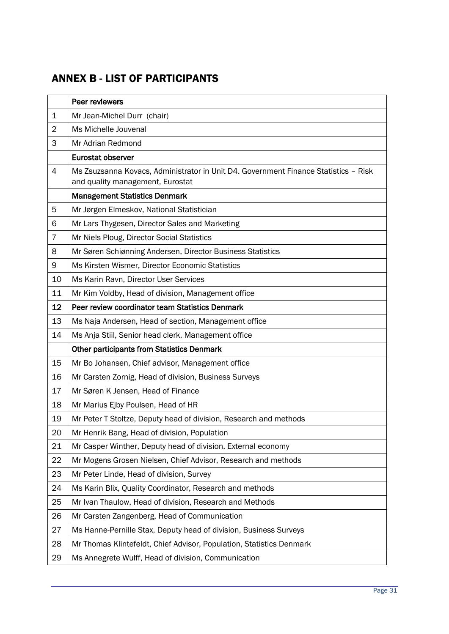# <span id="page-30-0"></span>ANNEX B - LIST OF PARTICIPANTS

|                | Peer reviewers                                                                                                          |
|----------------|-------------------------------------------------------------------------------------------------------------------------|
| 1              | Mr Jean-Michel Durr (chair)                                                                                             |
| $\overline{2}$ | Ms Michelle Jouvenal                                                                                                    |
| 3              | Mr Adrian Redmond                                                                                                       |
|                | Eurostat observer                                                                                                       |
| 4              | Ms Zsuzsanna Kovacs, Administrator in Unit D4. Government Finance Statistics - Risk<br>and quality management, Eurostat |
|                | <b>Management Statistics Denmark</b>                                                                                    |
| 5              | Mr Jørgen Elmeskov, National Statistician                                                                               |
| 6              | Mr Lars Thygesen, Director Sales and Marketing                                                                          |
| 7              | Mr Niels Ploug, Director Social Statistics                                                                              |
| 8              | Mr Søren Schiønning Andersen, Director Business Statistics                                                              |
| 9              | Ms Kirsten Wismer, Director Economic Statistics                                                                         |
| 10             | Ms Karin Ravn, Director User Services                                                                                   |
| 11             | Mr Kim Voldby, Head of division, Management office                                                                      |
| 12             | Peer review coordinator team Statistics Denmark                                                                         |
| 13             | Ms Naja Andersen, Head of section, Management office                                                                    |
| 14             | Ms Anja Stiil, Senior head clerk, Management office                                                                     |
|                | <b>Other participants from Statistics Denmark</b>                                                                       |
| 15             | Mr Bo Johansen, Chief advisor, Management office                                                                        |
| 16             | Mr Carsten Zornig, Head of division, Business Surveys                                                                   |
| 17             | Mr Søren K Jensen, Head of Finance                                                                                      |
| 18             | Mr Marius Ejby Poulsen, Head of HR                                                                                      |
| 19             | Mr Peter T Stoltze, Deputy head of division, Research and methods                                                       |
| 20             | Mr Henrik Bang, Head of division, Population                                                                            |
| 21             | Mr Casper Winther, Deputy head of division, External economy                                                            |
| 22             | Mr Mogens Grosen Nielsen, Chief Advisor, Research and methods                                                           |
| 23             | Mr Peter Linde, Head of division, Survey                                                                                |
| 24             | Ms Karin Blix, Quality Coordinator, Research and methods                                                                |
| 25             | Mr Ivan Thaulow, Head of division, Research and Methods                                                                 |
| 26             | Mr Carsten Zangenberg, Head of Communication                                                                            |
| 27             | Ms Hanne-Pernille Stax, Deputy head of division, Business Surveys                                                       |
| 28             | Mr Thomas Klintefeldt, Chief Advisor, Population, Statistics Denmark                                                    |
| 29             | Ms Annegrete Wulff, Head of division, Communication                                                                     |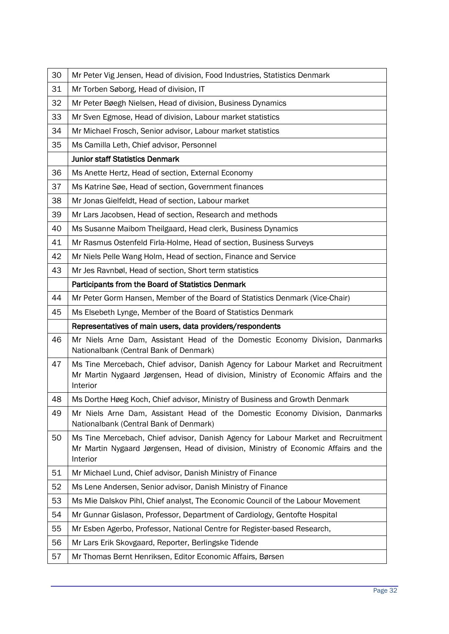| 30 | Mr Peter Vig Jensen, Head of division, Food Industries, Statistics Denmark                                                                                                           |
|----|--------------------------------------------------------------------------------------------------------------------------------------------------------------------------------------|
| 31 | Mr Torben Søborg, Head of division, IT                                                                                                                                               |
| 32 | Mr Peter Bøegh Nielsen, Head of division, Business Dynamics                                                                                                                          |
| 33 | Mr Sven Egmose, Head of division, Labour market statistics                                                                                                                           |
| 34 | Mr Michael Frosch, Senior advisor, Labour market statistics                                                                                                                          |
| 35 | Ms Camilla Leth, Chief advisor, Personnel                                                                                                                                            |
|    | <b>Junior staff Statistics Denmark</b>                                                                                                                                               |
| 36 | Ms Anette Hertz, Head of section, External Economy                                                                                                                                   |
| 37 | Ms Katrine Søe, Head of section, Government finances                                                                                                                                 |
| 38 | Mr Jonas Gielfeldt, Head of section, Labour market                                                                                                                                   |
| 39 | Mr Lars Jacobsen, Head of section, Research and methods                                                                                                                              |
| 40 | Ms Susanne Maibom Theilgaard, Head clerk, Business Dynamics                                                                                                                          |
| 41 | Mr Rasmus Ostenfeld Firla-Holme, Head of section, Business Surveys                                                                                                                   |
| 42 | Mr Niels Pelle Wang Holm, Head of section, Finance and Service                                                                                                                       |
| 43 | Mr Jes Ravnbøl, Head of section, Short term statistics                                                                                                                               |
|    | Participants from the Board of Statistics Denmark                                                                                                                                    |
| 44 | Mr Peter Gorm Hansen, Member of the Board of Statistics Denmark (Vice-Chair)                                                                                                         |
| 45 | Ms Elsebeth Lynge, Member of the Board of Statistics Denmark                                                                                                                         |
|    | Representatives of main users, data providers/respondents                                                                                                                            |
| 46 | Mr Niels Arne Dam, Assistant Head of the Domestic Economy Division, Danmarks<br>Nationalbank (Central Bank of Denmark)                                                               |
| 47 | Ms Tine Mercebach, Chief advisor, Danish Agency for Labour Market and Recruitment<br>Mr Martin Nygaard Jørgensen, Head of division, Ministry of Economic Affairs and the<br>Interior |
| 48 | Ms Dorthe Høeg Koch, Chief advisor, Ministry of Business and Growth Denmark                                                                                                          |
| 49 | Mr Niels Arne Dam, Assistant Head of the Domestic Economy Division, Danmarks<br>Nationalbank (Central Bank of Denmark)                                                               |
| 50 | Ms Tine Mercebach, Chief advisor, Danish Agency for Labour Market and Recruitment<br>Mr Martin Nygaard Jørgensen, Head of division, Ministry of Economic Affairs and the<br>Interior |
| 51 | Mr Michael Lund, Chief advisor, Danish Ministry of Finance                                                                                                                           |
| 52 | Ms Lene Andersen, Senior advisor, Danish Ministry of Finance                                                                                                                         |
| 53 | Ms Mie Dalskov Pihl, Chief analyst, The Economic Council of the Labour Movement                                                                                                      |
| 54 | Mr Gunnar Gislason, Professor, Department of Cardiology, Gentofte Hospital                                                                                                           |
| 55 | Mr Esben Agerbo, Professor, National Centre for Register-based Research,                                                                                                             |
| 56 | Mr Lars Erik Skovgaard, Reporter, Berlingske Tidende                                                                                                                                 |
| 57 | Mr Thomas Bernt Henriksen, Editor Economic Affairs, Børsen                                                                                                                           |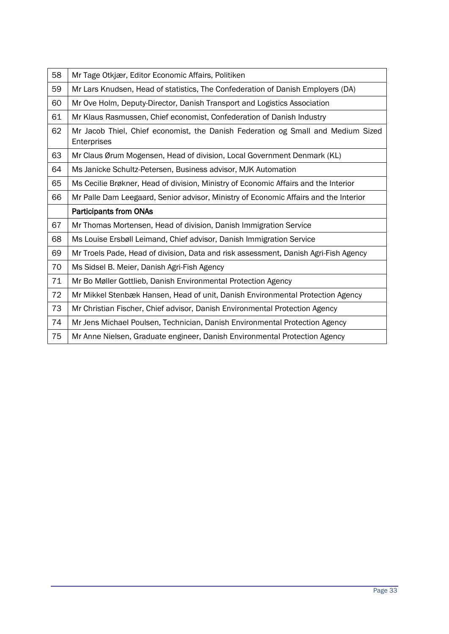| 58 | Mr Tage Otkjær, Editor Economic Affairs, Politiken                                              |
|----|-------------------------------------------------------------------------------------------------|
| 59 | Mr Lars Knudsen, Head of statistics, The Confederation of Danish Employers (DA)                 |
| 60 | Mr Ove Holm, Deputy-Director, Danish Transport and Logistics Association                        |
| 61 | Mr Klaus Rasmussen, Chief economist, Confederation of Danish Industry                           |
| 62 | Mr Jacob Thiel, Chief economist, the Danish Federation og Small and Medium Sized<br>Enterprises |
| 63 | Mr Claus Ørum Mogensen, Head of division, Local Government Denmark (KL)                         |
| 64 | Ms Janicke Schultz-Petersen, Business advisor, MJK Automation                                   |
| 65 | Ms Cecilie Brøkner, Head of division, Ministry of Economic Affairs and the Interior             |
| 66 | Mr Palle Dam Leegaard, Senior advisor, Ministry of Economic Affairs and the Interior            |
|    | <b>Participants from ONAs</b>                                                                   |
| 67 | Mr Thomas Mortensen, Head of division, Danish Immigration Service                               |
| 68 | Ms Louise Ersbøll Leimand, Chief advisor, Danish Immigration Service                            |
| 69 | Mr Troels Pade, Head of division, Data and risk assessment, Danish Agri-Fish Agency             |
| 70 | Ms Sidsel B. Meier, Danish Agri-Fish Agency                                                     |
| 71 | Mr Bo Møller Gottlieb, Danish Environmental Protection Agency                                   |
| 72 | Mr Mikkel Stenbæk Hansen, Head of unit, Danish Environmental Protection Agency                  |
| 73 | Mr Christian Fischer, Chief advisor, Danish Environmental Protection Agency                     |
| 74 | Mr Jens Michael Poulsen, Technician, Danish Environmental Protection Agency                     |
| 75 | Mr Anne Nielsen, Graduate engineer, Danish Environmental Protection Agency                      |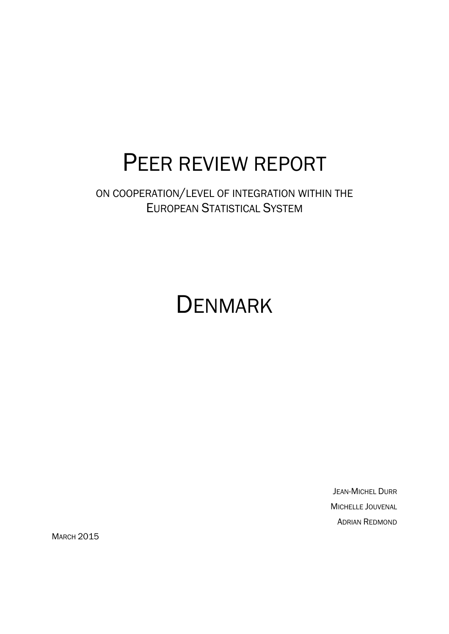# PEER REVIEW REPORT

ON COOPERATION/LEVEL OF INTEGRATION WITHIN THE EUROPEAN STATISTICAL SYSTEM

# **DENMARK**

JEAN-MICHEL DURR MICHELLE JOUVENAL ADRIAN REDMOND

**MARCH 2015**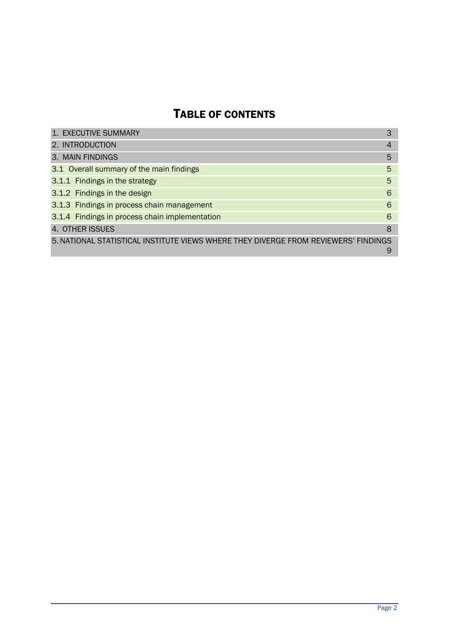# TABLE OF CONTENTS

| 1. EXECUTIVE SUMMARY                                                                | 3              |
|-------------------------------------------------------------------------------------|----------------|
| 2. INTRODUCTION                                                                     | $\overline{4}$ |
| 3. MAIN FINDINGS                                                                    | 5              |
| 3.1 Overall summary of the main findings                                            | 5              |
| 3.1.1 Findings in the strategy                                                      | 5              |
| 3.1.2 Findings in the design                                                        | 6              |
| 3.1.3 Findings in process chain management                                          | 6              |
| 3.1.4 Findings in process chain implementation                                      | 6              |
| 4. OTHER ISSUES                                                                     | 8              |
| 5. NATIONAL STATISTICAL INSTITUTE VIEWS WHERE THEY DIVERGE FROM REVIEWERS' FINDINGS | 9              |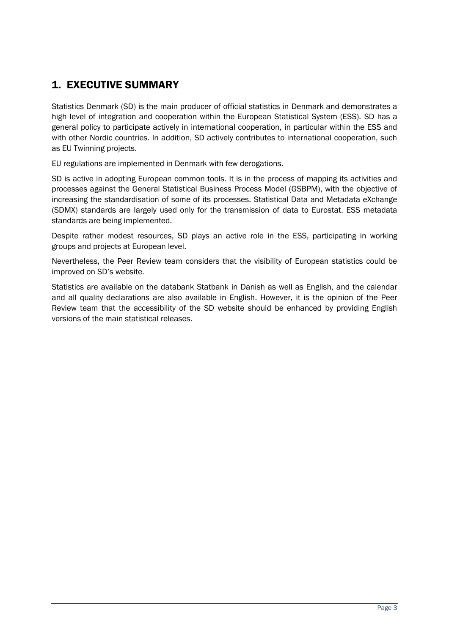## 1. EXECUTIVE SUMMARY

Statistics Denmark (SD) is the main producer of official statistics in Denmark and demonstrates a high level of integration and cooperation within the European Statistical System (ESS). SD has a general policy to participate actively in international cooperation, in particular within the ESS and with other Nordic countries. In addition, SD actively contributes to international cooperation, such as EU Twinning projects.

EU regulations are implemented in Denmark with few derogations.

SD is active in adopting European common tools. It is in the process of mapping its activities and processes against the General Statistical Business Process Model (GSBPM), with the objective of increasing the standardisation of some of its processes. Statistical Data and Metadata eXchange (SDMX) standards are largely used only for the transmission of data to Eurostat. ESS metadata standards are being implemented.

Despite rather modest resources, SD plays an active role in the ESS, participating in working groups and projects at European level.

Nevertheless, the Peer Review team considers that the visibility of European statistics could be improved on SD's website.

Statistics are available on the databank Statbank in Danish as well as English, and the calendar and all quality declarations are also available in English. However, it is the opinion of the Peer Review team that the accessibility of the SD website should be enhanced by providing English versions of the main statistical releases.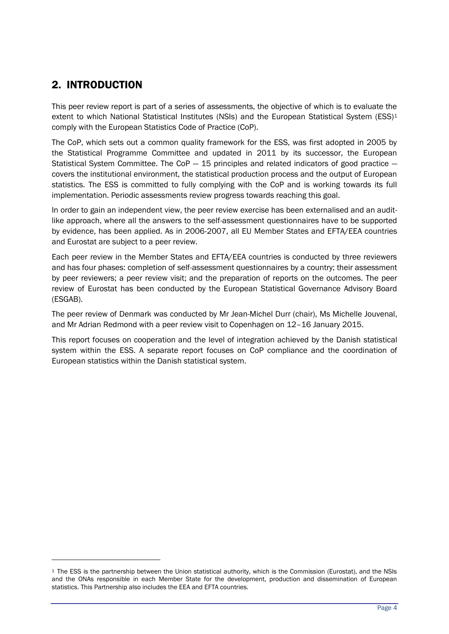## 2. INTRODUCTION

 $\overline{a}$ 

This peer review report is part of a series of assessments, the objective of which is to evaluate the extent to which National Statistical Institutes (NSIs) and the European Statistical System (ESS)<sup>1</sup> comply with the European Statistics Code of Practice (CoP).

The CoP, which sets out a common quality framework for the ESS, was first adopted in 2005 by the Statistical Programme Committee and updated in 2011 by its successor, the European Statistical System Committee. The  $COP - 15$  principles and related indicators of good practice  $$ covers the institutional environment, the statistical production process and the output of European statistics. The ESS is committed to fully complying with the CoP and is working towards its full implementation. Periodic assessments review progress towards reaching this goal.

In order to gain an independent view, the peer review exercise has been externalised and an auditlike approach, where all the answers to the self-assessment questionnaires have to be supported by evidence, has been applied. As in 2006-2007, all EU Member States and EFTA/EEA countries and Eurostat are subject to a peer review.

Each peer review in the Member States and EFTA/EEA countries is conducted by three reviewers and has four phases: completion of self-assessment questionnaires by a country; their assessment by peer reviewers; a peer review visit; and the preparation of reports on the outcomes. The peer review of Eurostat has been conducted by the European Statistical Governance Advisory Board (ESGAB).

The peer review of Denmark was conducted by Mr Jean-Michel Durr (chair), Ms Michelle Jouvenal, and Mr Adrian Redmond with a peer review visit to Copenhagen on 12–16 January 2015.

This report focuses on cooperation and the level of integration achieved by the Danish statistical system within the ESS. A separate report focuses on CoP compliance and the coordination of European statistics within the Danish statistical system.

<sup>1</sup> The ESS is the partnership between the Union statistical authority, which is the Commission (Eurostat), and the NSIs and the ONAs responsible in each Member State for the development, production and dissemination of European statistics. This Partnership also includes the EEA and EFTA countries.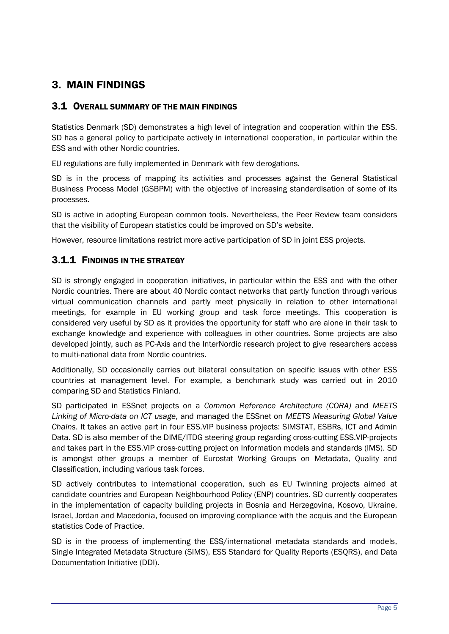## 3. MAIN FINDINGS

#### 3.1 OVERALL SUMMARY OF THE MAIN FINDINGS

Statistics Denmark (SD) demonstrates a high level of integration and cooperation within the ESS. SD has a general policy to participate actively in international cooperation, in particular within the ESS and with other Nordic countries.

EU regulations are fully implemented in Denmark with few derogations.

SD is in the process of mapping its activities and processes against the General Statistical Business Process Model (GSBPM) with the objective of increasing standardisation of some of its processes.

SD is active in adopting European common tools. Nevertheless, the Peer Review team considers that the visibility of European statistics could be improved on SD's website.

However, resource limitations restrict more active participation of SD in joint ESS projects.

## 3.1.1 FINDINGS IN THE STRATEGY

SD is strongly engaged in cooperation initiatives, in particular within the ESS and with the other Nordic countries. There are about 40 Nordic contact networks that partly function through various virtual communication channels and partly meet physically in relation to other international meetings, for example in EU working group and task force meetings. This cooperation is considered very useful by SD as it provides the opportunity for staff who are alone in their task to exchange knowledge and experience with colleagues in other countries. Some projects are also developed jointly, such as PC-Axis and the InterNordic research project to give researchers access to multi-national data from Nordic countries.

Additionally, SD occasionally carries out bilateral consultation on specific issues with other ESS countries at management level. For example, a benchmark study was carried out in 2010 comparing SD and Statistics Finland.

SD participated in ESSnet projects on a *Common Reference Architecture (CORA)* and *MEETS Linking of Micro-data on ICT usage*, and managed the ESSnet on *MEETS Measuring Global Value Chains*. It takes an active part in four ESS.VIP business projects: SIMSTAT, ESBRs, ICT and Admin Data. SD is also member of the DIME/ITDG steering group regarding cross-cutting ESS.VIP-projects and takes part in the ESS.VIP cross-cutting project on Information models and standards (IMS). SD is amongst other groups a member of Eurostat Working Groups on Metadata, Quality and Classification, including various task forces.

SD actively contributes to international cooperation, such as EU Twinning projects aimed at candidate countries and European Neighbourhood Policy (ENP) countries. SD currently cooperates in the implementation of capacity building projects in Bosnia and Herzegovina, Kosovo, Ukraine, Israel, Jordan and Macedonia, focused on improving compliance with the acquis and the European statistics Code of Practice.

SD is in the process of implementing the ESS/international metadata standards and models, Single Integrated Metadata Structure (SIMS), ESS Standard for Quality Reports (ESQRS), and Data Documentation Initiative (DDI).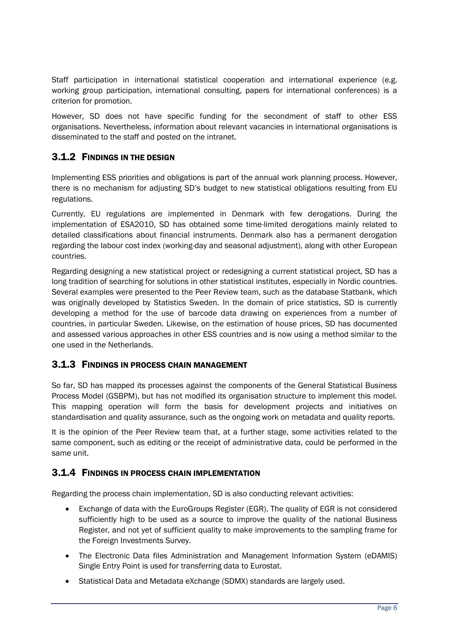Staff participation in international statistical cooperation and international experience (e.g. working group participation, international consulting, papers for international conferences) is a criterion for promotion.

However, SD does not have specific funding for the secondment of staff to other ESS organisations. Nevertheless, information about relevant vacancies in international organisations is disseminated to the staff and posted on the intranet.

### 3.1.2 FINDINGS IN THE DESIGN

Implementing ESS priorities and obligations is part of the annual work planning process. However, there is no mechanism for adjusting SD's budget to new statistical obligations resulting from EU regulations.

Currently, EU regulations are implemented in Denmark with few derogations. During the implementation of ESA2010, SD has obtained some time-limited derogations mainly related to detailed classifications about financial instruments. Denmark also has a permanent derogation regarding the labour cost index (working-day and seasonal adjustment), along with other European countries.

Regarding designing a new statistical project or redesigning a current statistical project, SD has a long tradition of searching for solutions in other statistical institutes, especially in Nordic countries. Several examples were presented to the Peer Review team, such as the database Statbank, which was originally developed by Statistics Sweden. In the domain of price statistics, SD is currently developing a method for the use of barcode data drawing on experiences from a number of countries, in particular Sweden. Likewise, on the estimation of house prices, SD has documented and assessed various approaches in other ESS countries and is now using a method similar to the one used in the Netherlands.

#### 3.1.3 FINDINGS IN PROCESS CHAIN MANAGEMENT

So far, SD has mapped its processes against the components of the General Statistical Business Process Model (GSBPM), but has not modified its organisation structure to implement this model. This mapping operation will form the basis for development projects and initiatives on standardisation and quality assurance, such as the ongoing work on metadata and quality reports.

It is the opinion of the Peer Review team that, at a further stage, some activities related to the same component, such as editing or the receipt of administrative data, could be performed in the same unit.

#### 3.1.4 FINDINGS IN PROCESS CHAIN IMPLEMENTATION

Regarding the process chain implementation, SD is also conducting relevant activities:

- Exchange of data with the EuroGroups Register (EGR). The quality of EGR is not considered sufficiently high to be used as a source to improve the quality of the national Business Register, and not yet of sufficient quality to make improvements to the sampling frame for the Foreign Investments Survey.
- The Electronic Data files Administration and Management Information System (eDAMIS) Single Entry Point is used for transferring data to Eurostat.
- Statistical Data and Metadata eXchange (SDMX) standards are largely used.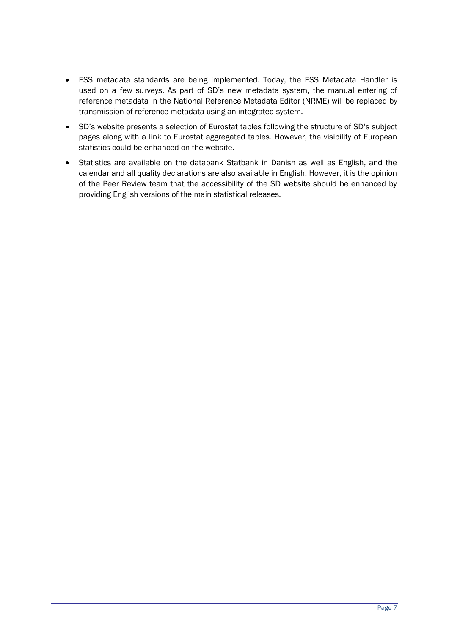- ESS metadata standards are being implemented. Today, the ESS Metadata Handler is used on a few surveys. As part of SD's new metadata system, the manual entering of reference metadata in the National Reference Metadata Editor (NRME) will be replaced by transmission of reference metadata using an integrated system.
- SD's website presents a selection of Eurostat tables following the structure of SD's subject pages along with a link to Eurostat aggregated tables. However, the visibility of European statistics could be enhanced on the website.
- Statistics are available on the databank Statbank in Danish as well as English, and the calendar and all quality declarations are also available in English. However, it is the opinion of the Peer Review team that the accessibility of the SD website should be enhanced by providing English versions of the main statistical releases.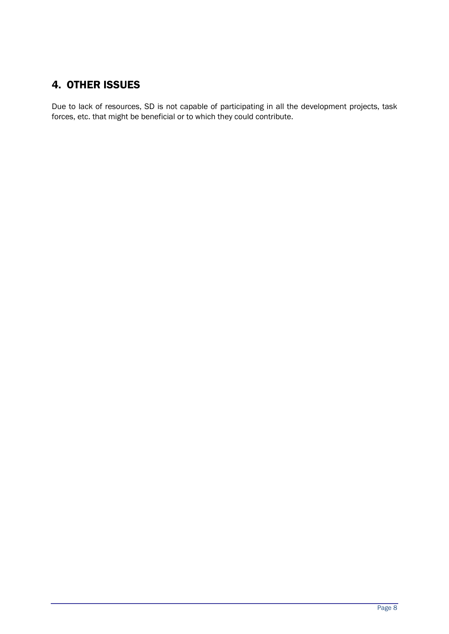## 4. OTHER ISSUES

Due to lack of resources, SD is not capable of participating in all the development projects, task forces, etc. that might be beneficial or to which they could contribute.